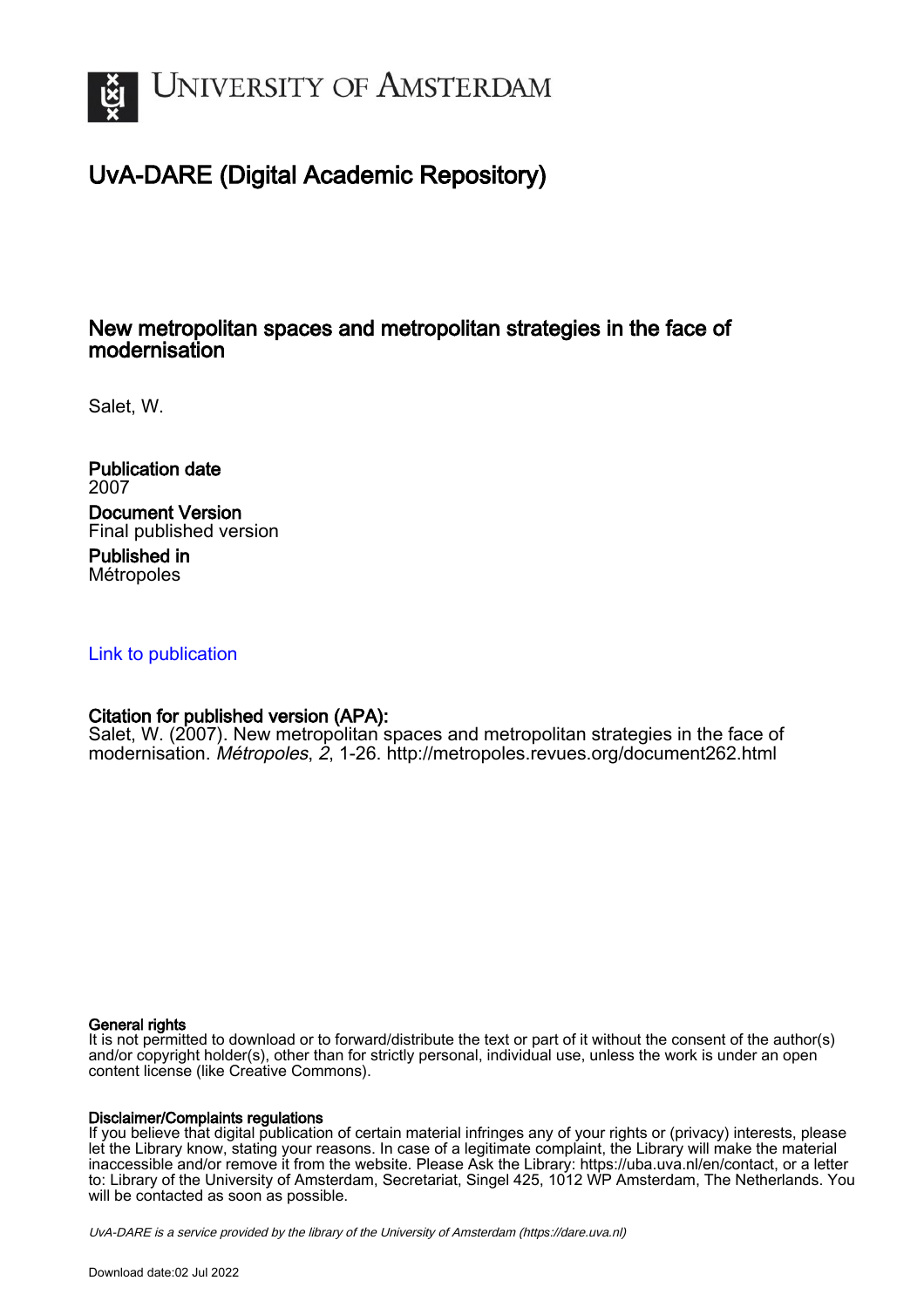

# UvA-DARE (Digital Academic Repository)

#### New metropolitan spaces and metropolitan strategies in the face of modernisation

Salet, W.

Publication date 2007 Document Version Final published version

Published in Métropoles

#### [Link to publication](https://dare.uva.nl/personal/pure/en/publications/new-metropolitan-spaces-and-metropolitan-strategies-in-the-face-of-modernisation(e97a58f6-1cbe-4dc8-ac10-c34607a6518a).html)

#### Citation for published version (APA):

Salet, W. (2007). New metropolitan spaces and metropolitan strategies in the face of modernisation. Métropoles, 2, 1-26. <http://metropoles.revues.org/document262.html>

#### General rights

It is not permitted to download or to forward/distribute the text or part of it without the consent of the author(s) and/or copyright holder(s), other than for strictly personal, individual use, unless the work is under an open content license (like Creative Commons).

#### Disclaimer/Complaints regulations

If you believe that digital publication of certain material infringes any of your rights or (privacy) interests, please let the Library know, stating your reasons. In case of a legitimate complaint, the Library will make the material inaccessible and/or remove it from the website. Please Ask the Library: https://uba.uva.nl/en/contact, or a letter to: Library of the University of Amsterdam, Secretariat, Singel 425, 1012 WP Amsterdam, The Netherlands. You will be contacted as soon as possible.

UvA-DARE is a service provided by the library of the University of Amsterdam (http*s*://dare.uva.nl)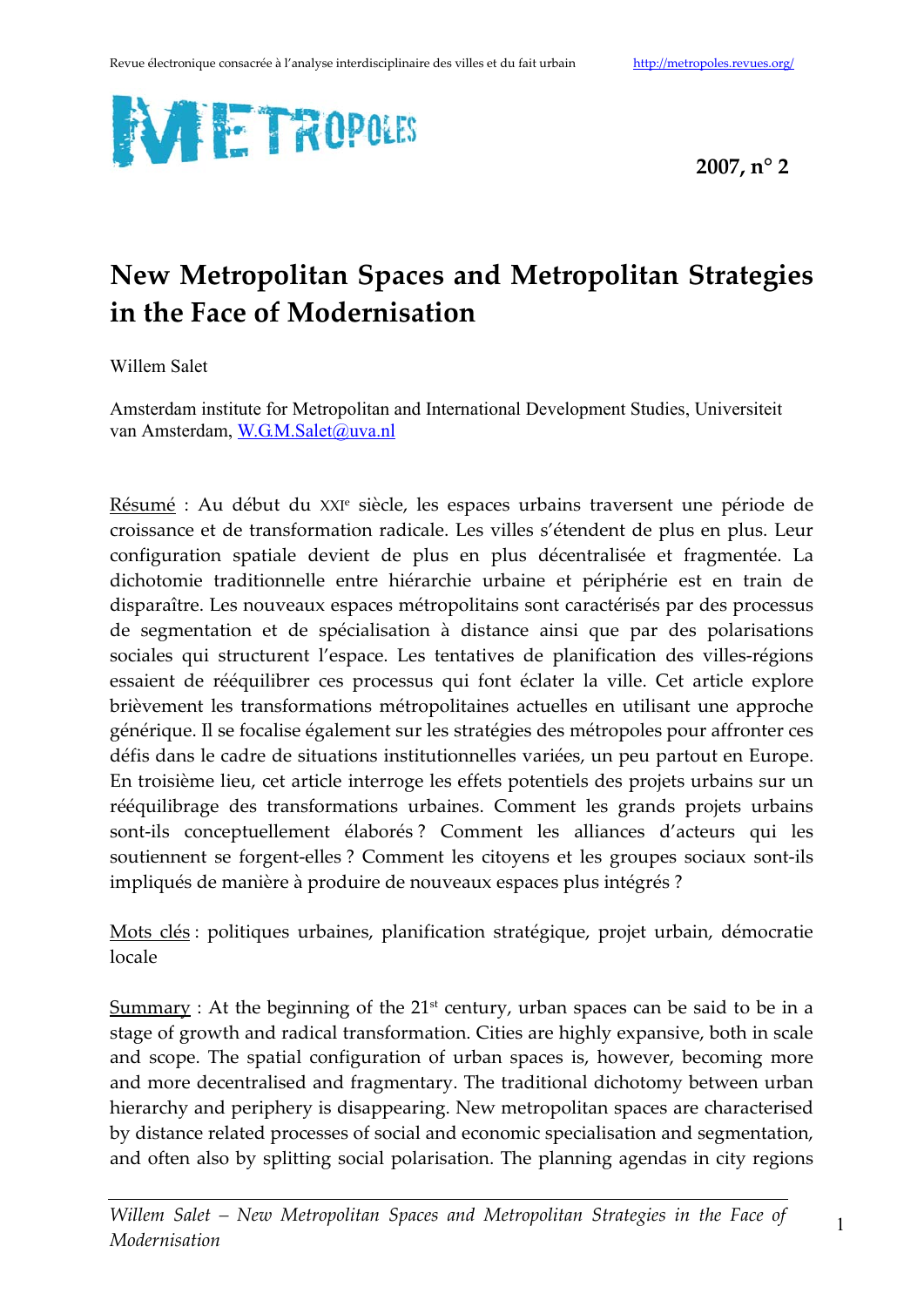

# New Metropolitan Spaces and Metropolitan Strategies in the Face of Modernisation

Willem Salet

Amsterdam institute for Metropolitan and International Development Studies, Universiteit van Amsterdam, W.G.M.Salet@uva.nl

Résumé : Au début du XXI<sup>e</sup> siècle, les espaces urbains traversent une période de croissance et de transformation radicale. Les villes s'étendent de plus en plus. Leur configuration spatiale devient de plus en plus décentralisée et fragmentée. La dichotomie traditionnelle entre hiérarchie urbaine et périphérie est en train de disparaître. Les nouveaux espaces métropolitains sont caractérisés par des processus de segmentation et de spécialisation à distance ainsi que par des polarisations sociales qui structurent l'espace. Les tentatives de planification des villes-régions essaient de rééquilibrer ces processus qui font éclater la ville. Cet article explore brièvement les transformations métropolitaines actuelles en utilisant une approche générique. Il se focalise également sur les stratégies des métropoles pour affronter ces défis dans le cadre de situations institutionnelles variées, un peu partout en Europe. En troisième lieu, cet article interroge les effets potentiels des projets urbains sur un rééquilibrage des transformations urbaines. Comment les grands projets urbains sont-ils conceptuellement élaborés? Comment les alliances d'acteurs qui les soutiennent se forgent-elles ? Comment les citoyens et les groupes sociaux sont-ils impliqués de manière à produire de nouveaux espaces plus intégrés ?

Mots clés : politiques urbaines, planification stratégique, projet urbain, démocratie locale

 $\frac{Summary}{Sumary}$ : At the beginning of the 21<sup>st</sup> century, urban spaces can be said to be in a stage of growth and radical transformation. Cities are highly expansive, both in scale and scope. The spatial configuration of urban spaces is, however, becoming more and more decentralised and fragmentary. The traditional dichotomy between urban hierarchy and periphery is disappearing. New metropolitan spaces are characterised by distance related processes of social and economic specialisation and segmentation, and often also by splitting social polarisation. The planning agendas in city regions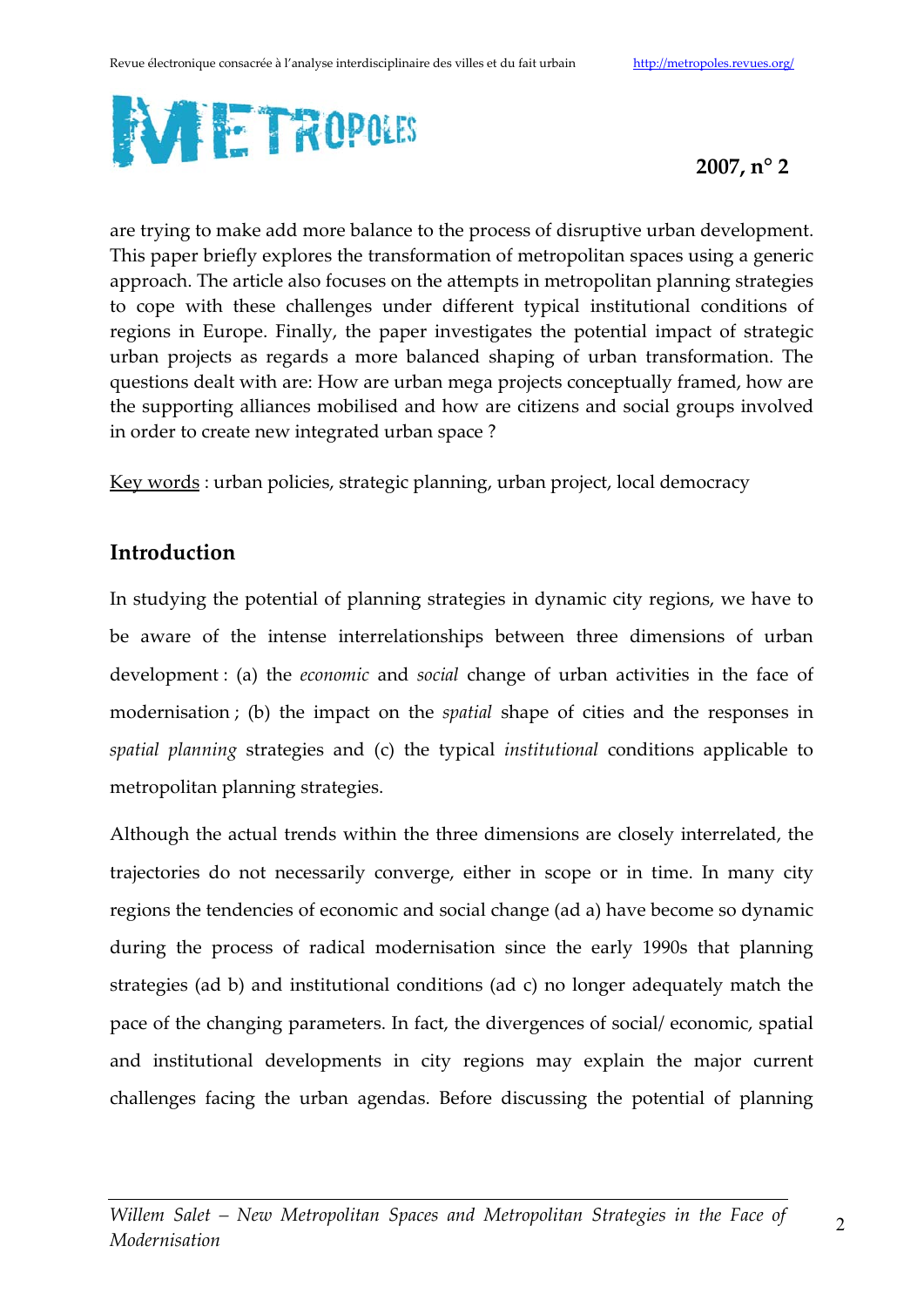

are trying to make add more balance to the process of disruptive urban development. This paper briefly explores the transformation of metropolitan spaces using a generic approach. The article also focuses on the attempts in metropolitan planning strategies to cope with these challenges under different typical institutional conditions of regions in Europe. Finally, the paper investigates the potential impact of strategic urban projects as regards a more balanced shaping of urban transformation. The questions dealt with are: How are urban mega projects conceptually framed, how are the supporting alliances mobilised and how are citizens and social groups involved in order to create new integrated urban space?

Key words: urban policies, strategic planning, urban project, local democracy

## **Introduction**

In studying the potential of planning strategies in dynamic city regions, we have to be aware of the intense interrelationships between three dimensions of urban development: (a) the *economic* and *social* change of urban activities in the face of modernisation; (b) the impact on the spatial shape of cities and the responses in spatial planning strategies and (c) the typical institutional conditions applicable to metropolitan planning strategies.

Although the actual trends within the three dimensions are closely interrelated, the trajectories do not necessarily converge, either in scope or in time. In many city regions the tendencies of economic and social change (ad a) have become so dynamic during the process of radical modernisation since the early 1990s that planning strategies (ad b) and institutional conditions (ad c) no longer adequately match the pace of the changing parameters. In fact, the divergences of social/economic, spatial and institutional developments in city regions may explain the major current challenges facing the urban agendas. Before discussing the potential of planning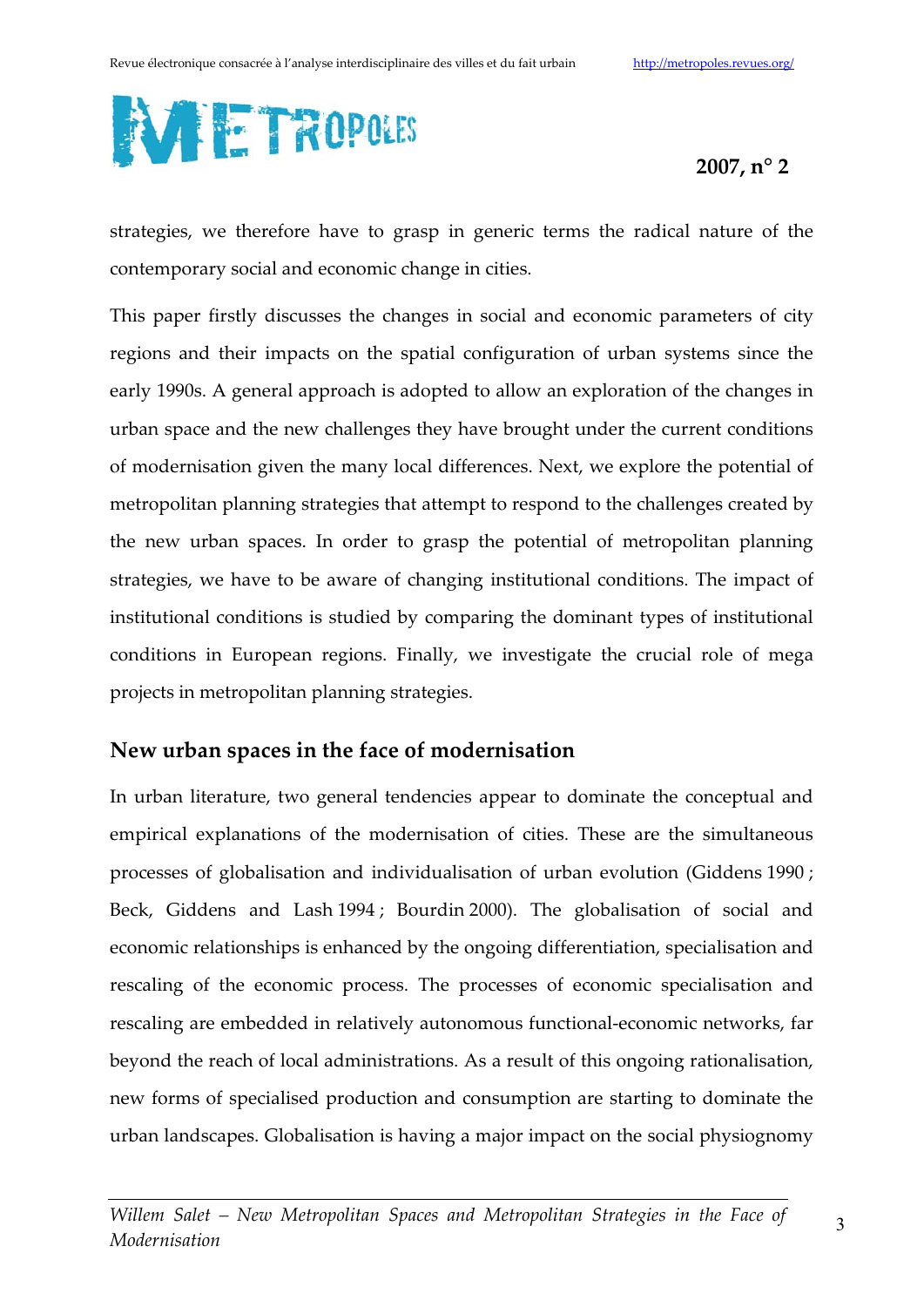

strategies, we therefore have to grasp in generic terms the radical nature of the contemporary social and economic change in cities.

This paper firstly discusses the changes in social and economic parameters of city regions and their impacts on the spatial configuration of urban systems since the early 1990s. A general approach is adopted to allow an exploration of the changes in urban space and the new challenges they have brought under the current conditions of modernisation given the many local differences. Next, we explore the potential of metropolitan planning strategies that attempt to respond to the challenges created by the new urban spaces. In order to grasp the potential of metropolitan planning strategies, we have to be aware of changing institutional conditions. The impact of institutional conditions is studied by comparing the dominant types of institutional conditions in European regions. Finally, we investigate the crucial role of mega projects in metropolitan planning strategies.

## New urban spaces in the face of modernisation

In urban literature, two general tendencies appear to dominate the conceptual and empirical explanations of the modernisation of cities. These are the simultaneous processes of globalisation and individualisation of urban evolution (Giddens 1990; Beck, Giddens and Lash 1994; Bourdin 2000). The globalisation of social and economic relationships is enhanced by the ongoing differentiation, specialisation and rescaling of the economic process. The processes of economic specialisation and rescaling are embedded in relatively autonomous functional-economic networks, far beyond the reach of local administrations. As a result of this ongoing rationalisation, new forms of specialised production and consumption are starting to dominate the urban landscapes. Globalisation is having a major impact on the social physiognomy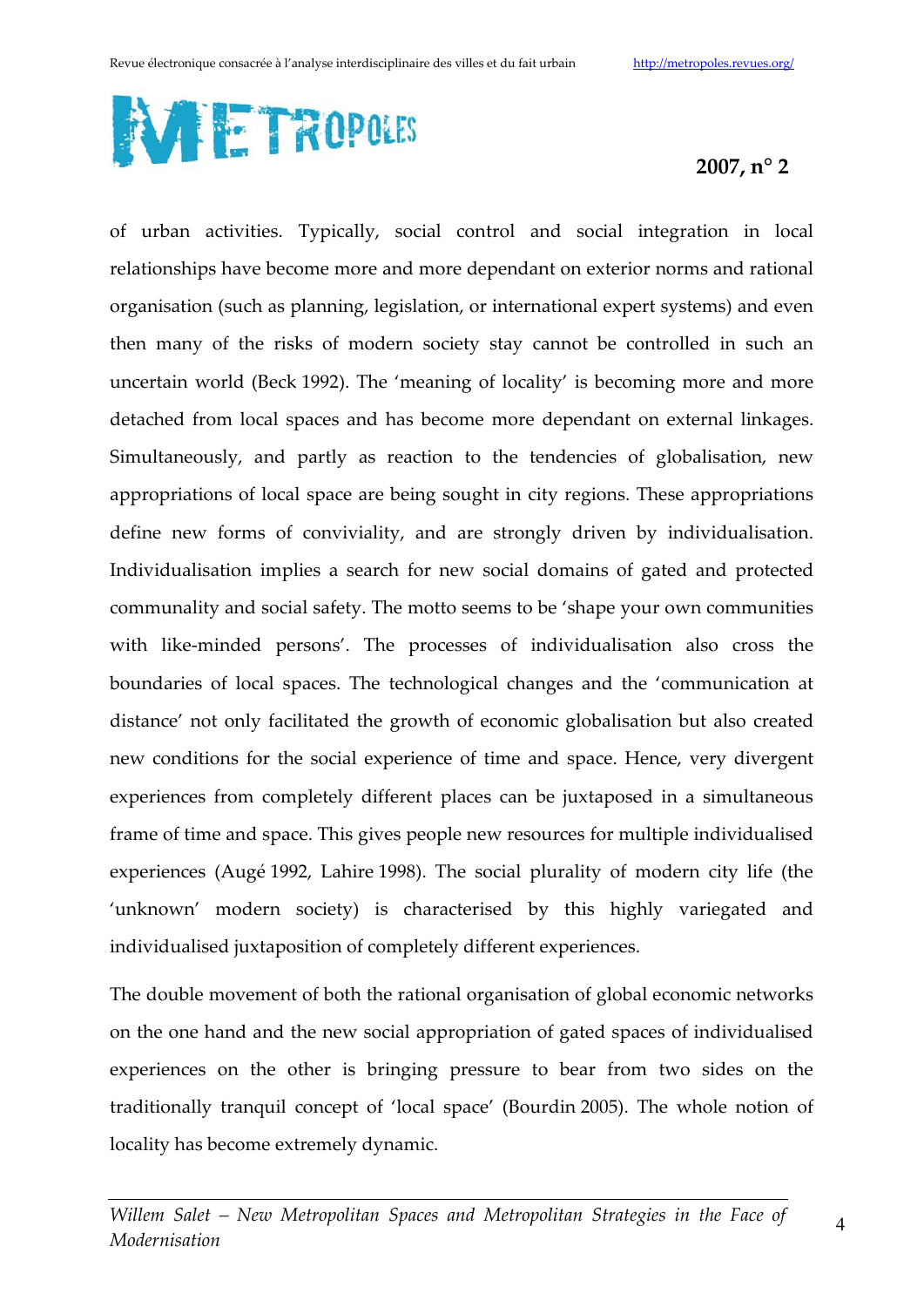

of urban activities. Typically, social control and social integration in local relationships have become more and more dependant on exterior norms and rational organisation (such as planning, legislation, or international expert systems) and even then many of the risks of modern society stay cannot be controlled in such an uncertain world (Beck 1992). The 'meaning of locality' is becoming more and more detached from local spaces and has become more dependant on external linkages. Simultaneously, and partly as reaction to the tendencies of globalisation, new appropriations of local space are being sought in city regions. These appropriations define new forms of conviviality, and are strongly driven by individualisation. Individualisation implies a search for new social domains of gated and protected communality and social safety. The motto seems to be 'shape your own communities with like-minded persons'. The processes of individualisation also cross the boundaries of local spaces. The technological changes and the 'communication at distance' not only facilitated the growth of economic globalisation but also created new conditions for the social experience of time and space. Hence, very divergent experiences from completely different places can be juxtaposed in a simultaneous frame of time and space. This gives people new resources for multiple individualised experiences (Augé 1992, Lahire 1998). The social plurality of modern city life (the 'unknown' modern society) is characterised by this highly variegated and individualised juxtaposition of completely different experiences.

The double movement of both the rational organisation of global economic networks on the one hand and the new social appropriation of gated spaces of individualised experiences on the other is bringing pressure to bear from two sides on the traditionally tranquil concept of 'local space' (Bourdin 2005). The whole notion of locality has become extremely dynamic.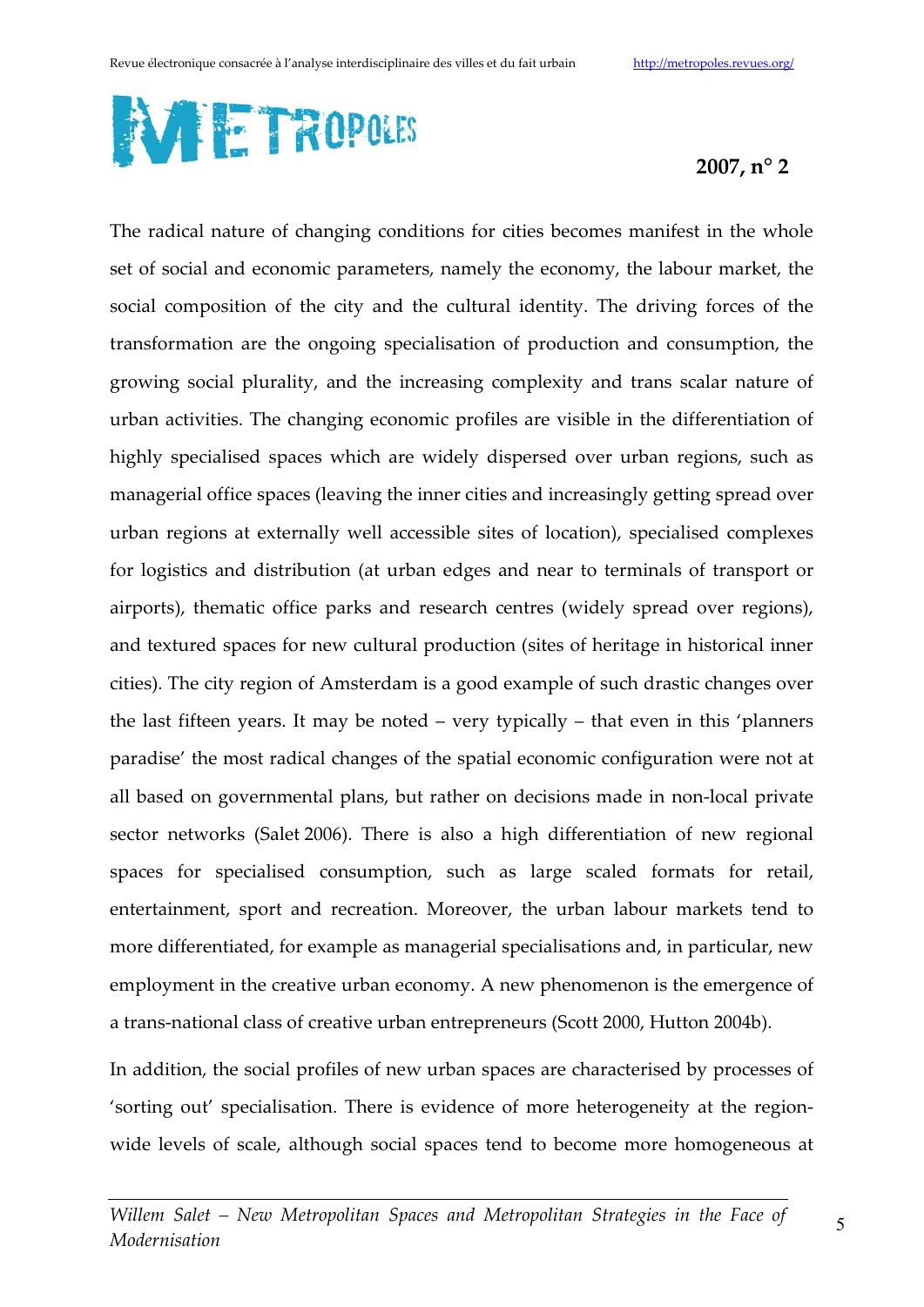

The radical nature of changing conditions for cities becomes manifest in the whole set of social and economic parameters, namely the economy, the labour market, the social composition of the city and the cultural identity. The driving forces of the transformation are the ongoing specialisation of production and consumption, the growing social plurality, and the increasing complexity and trans scalar nature of urban activities. The changing economic profiles are visible in the differentiation of highly specialised spaces which are widely dispersed over urban regions, such as managerial office spaces (leaving the inner cities and increasingly getting spread over urban regions at externally well accessible sites of location), specialised complexes for logistics and distribution (at urban edges and near to terminals of transport or airports), thematic office parks and research centres (widely spread over regions), and textured spaces for new cultural production (sites of heritage in historical inner cities). The city region of Amsterdam is a good example of such drastic changes over the last fifteen years. It may be noted – very typically – that even in this 'planners' paradise' the most radical changes of the spatial economic configuration were not at all based on governmental plans, but rather on decisions made in non-local private sector networks (Salet 2006). There is also a high differentiation of new regional spaces for specialised consumption, such as large scaled formats for retail, entertainment, sport and recreation. Moreover, the urban labour markets tend to more differentiated, for example as managerial specialisations and, in particular, new employment in the creative urban economy. A new phenomenon is the emergence of a trans-national class of creative urban entrepreneurs (Scott 2000, Hutton 2004b).

In addition, the social profiles of new urban spaces are characterised by processes of 'sorting out' specialisation. There is evidence of more heterogeneity at the regionwide levels of scale, although social spaces tend to become more homogeneous at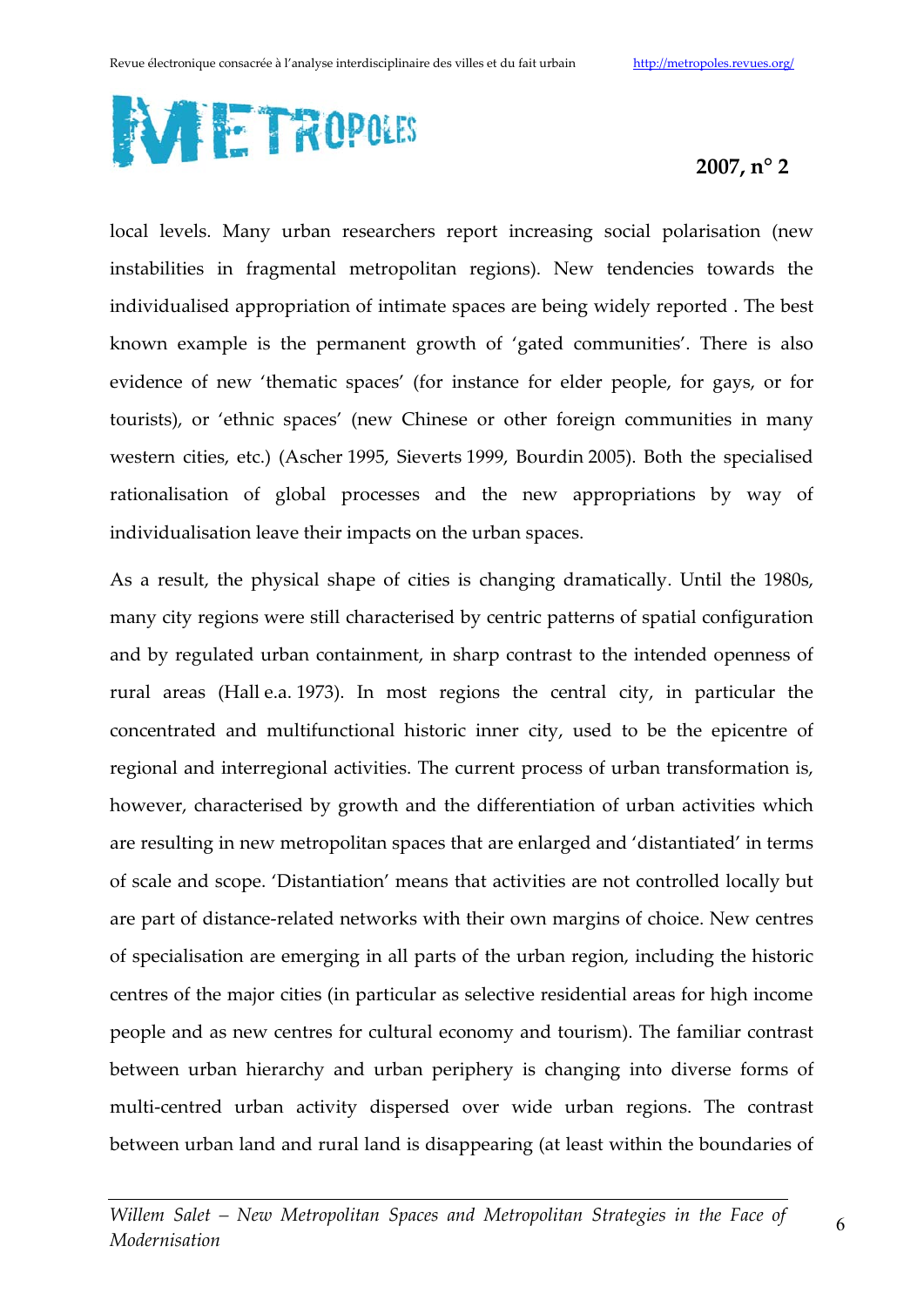

local levels. Many urban researchers report increasing social polarisation (new instabilities in fragmental metropolitan regions). New tendencies towards the individualised appropriation of intimate spaces are being widely reported. The best known example is the permanent growth of 'gated communities'. There is also evidence of new 'thematic spaces' (for instance for elder people, for gays, or for tourists), or 'ethnic spaces' (new Chinese or other foreign communities in many western cities, etc.) (Ascher 1995, Sieverts 1999, Bourdin 2005). Both the specialised rationalisation of global processes and the new appropriations by way of individualisation leave their impacts on the urban spaces.

As a result, the physical shape of cities is changing dramatically. Until the 1980s, many city regions were still characterised by centric patterns of spatial configuration and by regulated urban containment, in sharp contrast to the intended openness of rural areas (Hall e.a. 1973). In most regions the central city, in particular the concentrated and multifunctional historic inner city, used to be the epicentre of regional and interregional activities. The current process of urban transformation is, however, characterised by growth and the differentiation of urban activities which are resulting in new metropolitan spaces that are enlarged and 'distantiated' in terms of scale and scope. 'Distantiation' means that activities are not controlled locally but are part of distance-related networks with their own margins of choice. New centres of specialisation are emerging in all parts of the urban region, including the historic centres of the major cities (in particular as selective residential areas for high income people and as new centres for cultural economy and tourism). The familiar contrast between urban hierarchy and urban periphery is changing into diverse forms of multi-centred urban activity dispersed over wide urban regions. The contrast between urban land and rural land is disappearing (at least within the boundaries of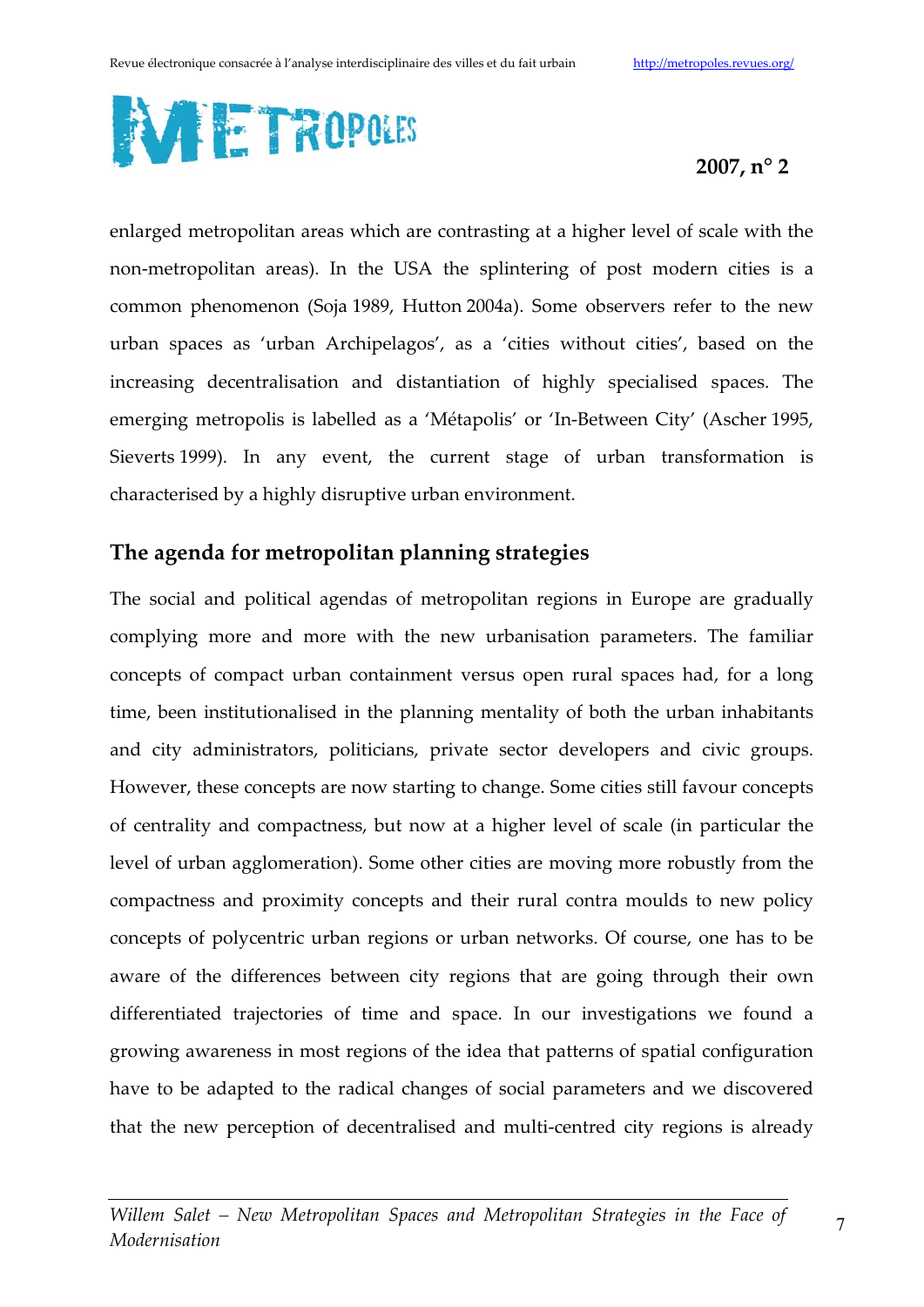

enlarged metropolitan areas which are contrasting at a higher level of scale with the non-metropolitan areas). In the USA the splintering of post modern cities is a common phenomenon (Soja 1989, Hutton 2004a). Some observers refer to the new urban spaces as 'urban Archipelagos', as a 'cities without cities', based on the increasing decentralisation and distantiation of highly specialised spaces. The emerging metropolis is labelled as a 'Métapolis' or 'In-Between City' (Ascher 1995, Sieverts 1999). In any event, the current stage of urban transformation is characterised by a highly disruptive urban environment.

## The agenda for metropolitan planning strategies

The social and political agendas of metropolitan regions in Europe are gradually complying more and more with the new urbanisation parameters. The familiar concepts of compact urban containment versus open rural spaces had, for a long time, been institutionalised in the planning mentality of both the urban inhabitants and city administrators, politicians, private sector developers and civic groups. However, these concepts are now starting to change. Some cities still favour concepts of centrality and compactness, but now at a higher level of scale (in particular the level of urban agglomeration). Some other cities are moving more robustly from the compactness and proximity concepts and their rural contra moulds to new policy concepts of polycentric urban regions or urban networks. Of course, one has to be aware of the differences between city regions that are going through their own differentiated trajectories of time and space. In our investigations we found a growing awareness in most regions of the idea that patterns of spatial configuration have to be adapted to the radical changes of social parameters and we discovered that the new perception of decentralised and multi-centred city regions is already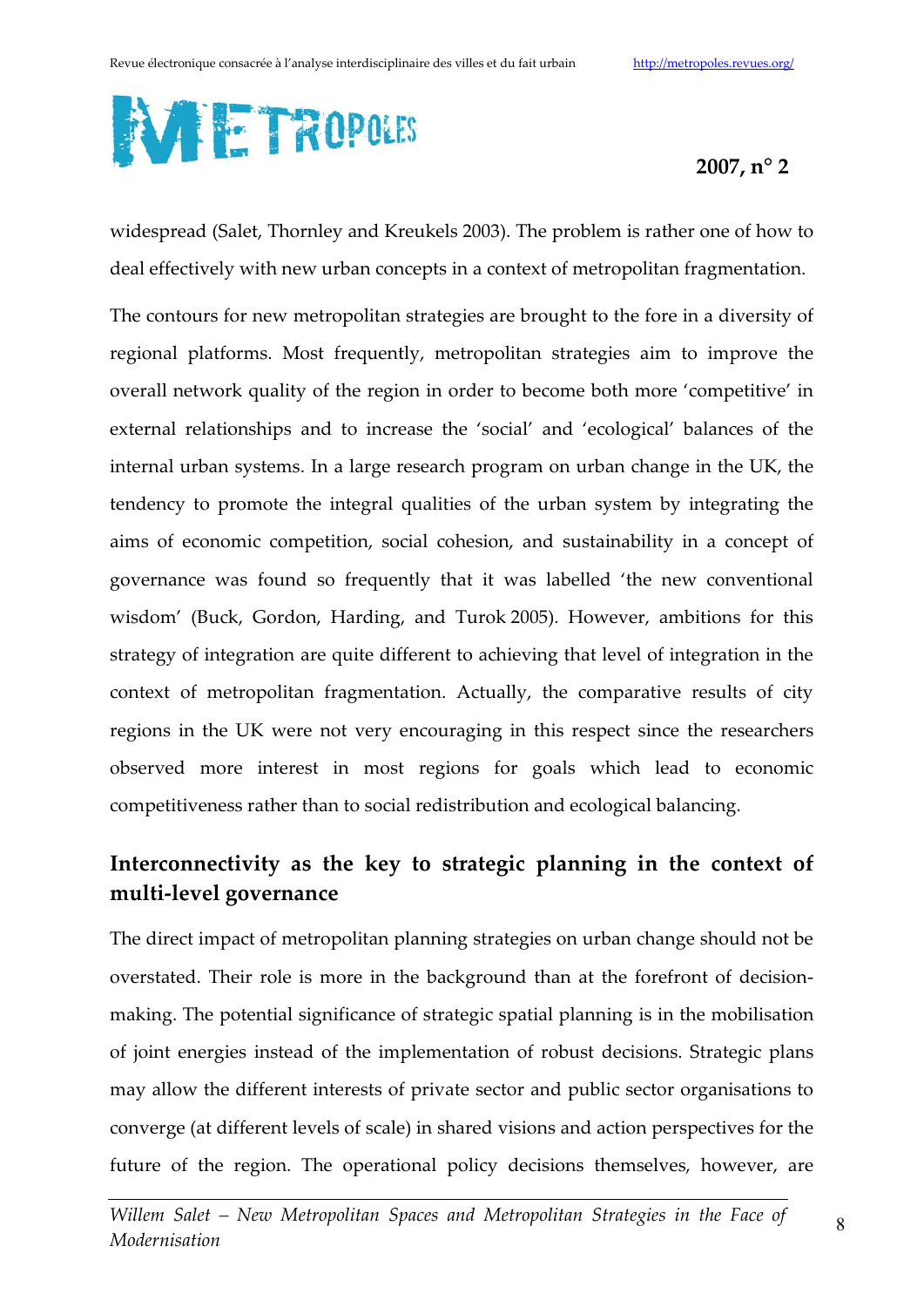

widespread (Salet, Thornley and Kreukels 2003). The problem is rather one of how to deal effectively with new urban concepts in a context of metropolitan fragmentation.

The contours for new metropolitan strategies are brought to the fore in a diversity of regional platforms. Most frequently, metropolitan strategies aim to improve the overall network quality of the region in order to become both more 'competitive' in external relationships and to increase the 'social' and 'ecological' balances of the internal urban systems. In a large research program on urban change in the UK, the tendency to promote the integral qualities of the urban system by integrating the aims of economic competition, social cohesion, and sustainability in a concept of governance was found so frequently that it was labelled 'the new conventional wisdom' (Buck, Gordon, Harding, and Turok 2005). However, ambitions for this strategy of integration are quite different to achieving that level of integration in the context of metropolitan fragmentation. Actually, the comparative results of city regions in the UK were not very encouraging in this respect since the researchers observed more interest in most regions for goals which lead to economic competitiveness rather than to social redistribution and ecological balancing.

## Interconnectivity as the key to strategic planning in the context of multi-level governance

The direct impact of metropolitan planning strategies on urban change should not be overstated. Their role is more in the background than at the forefront of decisionmaking. The potential significance of strategic spatial planning is in the mobilisation of joint energies instead of the implementation of robust decisions. Strategic plans may allow the different interests of private sector and public sector organisations to converge (at different levels of scale) in shared visions and action perspectives for the future of the region. The operational policy decisions themselves, however, are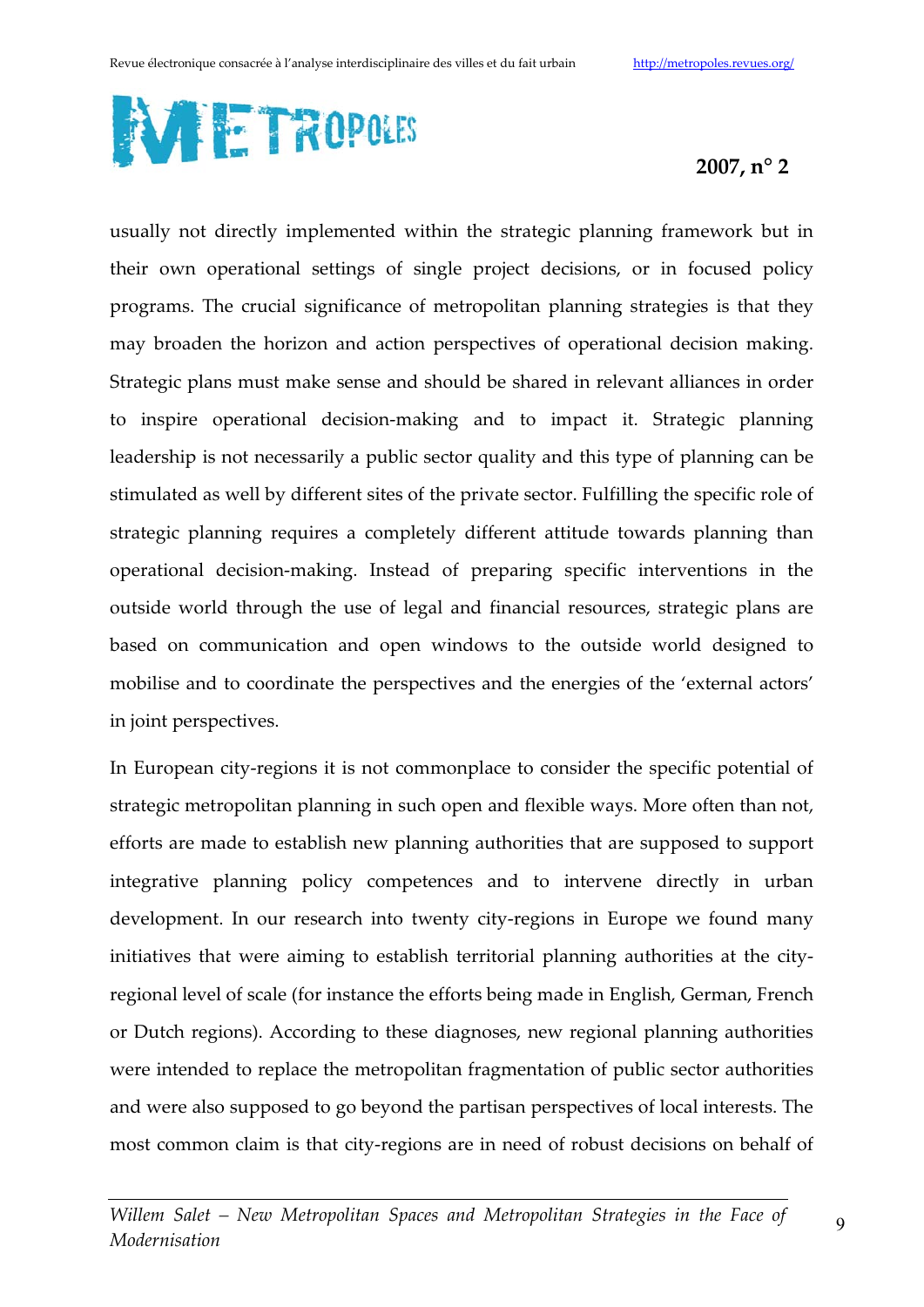

usually not directly implemented within the strategic planning framework but in their own operational settings of single project decisions, or in focused policy programs. The crucial significance of metropolitan planning strategies is that they may broaden the horizon and action perspectives of operational decision making. Strategic plans must make sense and should be shared in relevant alliances in order to inspire operational decision-making and to impact it. Strategic planning leadership is not necessarily a public sector quality and this type of planning can be stimulated as well by different sites of the private sector. Fulfilling the specific role of strategic planning requires a completely different attitude towards planning than operational decision-making. Instead of preparing specific interventions in the outside world through the use of legal and financial resources, strategic plans are based on communication and open windows to the outside world designed to mobilise and to coordinate the perspectives and the energies of the 'external actors' in joint perspectives.

In European city-regions it is not commonplace to consider the specific potential of strategic metropolitan planning in such open and flexible ways. More often than not, efforts are made to establish new planning authorities that are supposed to support integrative planning policy competences and to intervene directly in urban development. In our research into twenty city-regions in Europe we found many initiatives that were aiming to establish territorial planning authorities at the cityregional level of scale (for instance the efforts being made in English, German, French or Dutch regions). According to these diagnoses, new regional planning authorities were intended to replace the metropolitan fragmentation of public sector authorities and were also supposed to go beyond the partisan perspectives of local interests. The most common claim is that city-regions are in need of robust decisions on behalf of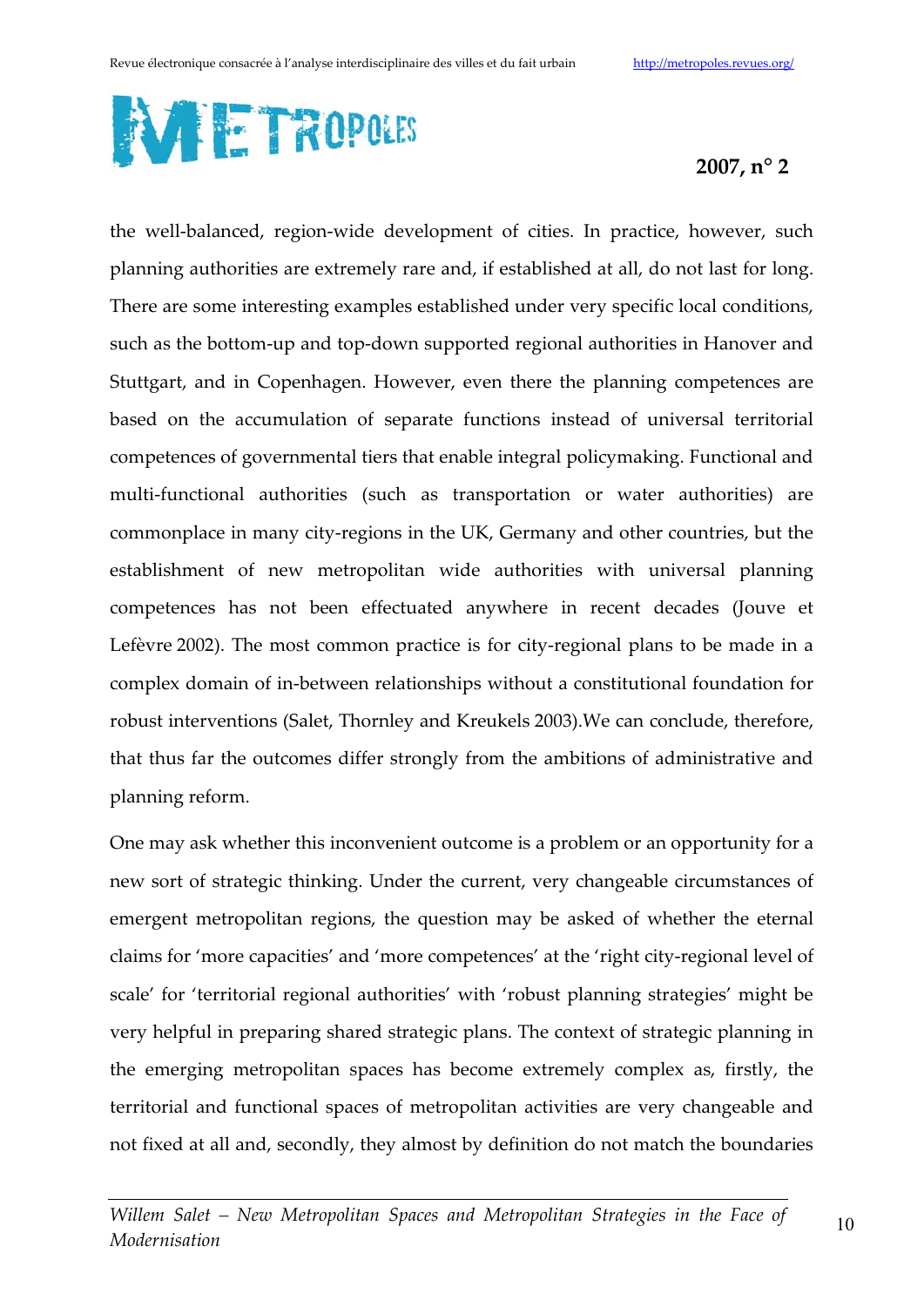

the well-balanced, region-wide development of cities. In practice, however, such planning authorities are extremely rare and, if established at all, do not last for long. There are some interesting examples established under very specific local conditions, such as the bottom-up and top-down supported regional authorities in Hanover and Stuttgart, and in Copenhagen. However, even there the planning competences are based on the accumulation of separate functions instead of universal territorial competences of governmental tiers that enable integral policymaking. Functional and multi-functional authorities (such as transportation or water authorities) are commonplace in many city-regions in the UK, Germany and other countries, but the establishment of new metropolitan wide authorities with universal planning competences has not been effectuated anywhere in recent decades (Jouve et Lefèvre 2002). The most common practice is for city-regional plans to be made in a complex domain of in-between relationships without a constitutional foundation for robust interventions (Salet, Thornley and Kreukels 2003). We can conclude, therefore, that thus far the outcomes differ strongly from the ambitions of administrative and planning reform.

One may ask whether this inconvenient outcome is a problem or an opportunity for a new sort of strategic thinking. Under the current, very changeable circumstances of emergent metropolitan regions, the question may be asked of whether the eternal claims for 'more capacities' and 'more competences' at the 'right city-regional level of scale' for 'territorial regional authorities' with 'robust planning strategies' might be very helpful in preparing shared strategic plans. The context of strategic planning in the emerging metropolitan spaces has become extremely complex as, firstly, the territorial and functional spaces of metropolitan activities are very changeable and not fixed at all and, secondly, they almost by definition do not match the boundaries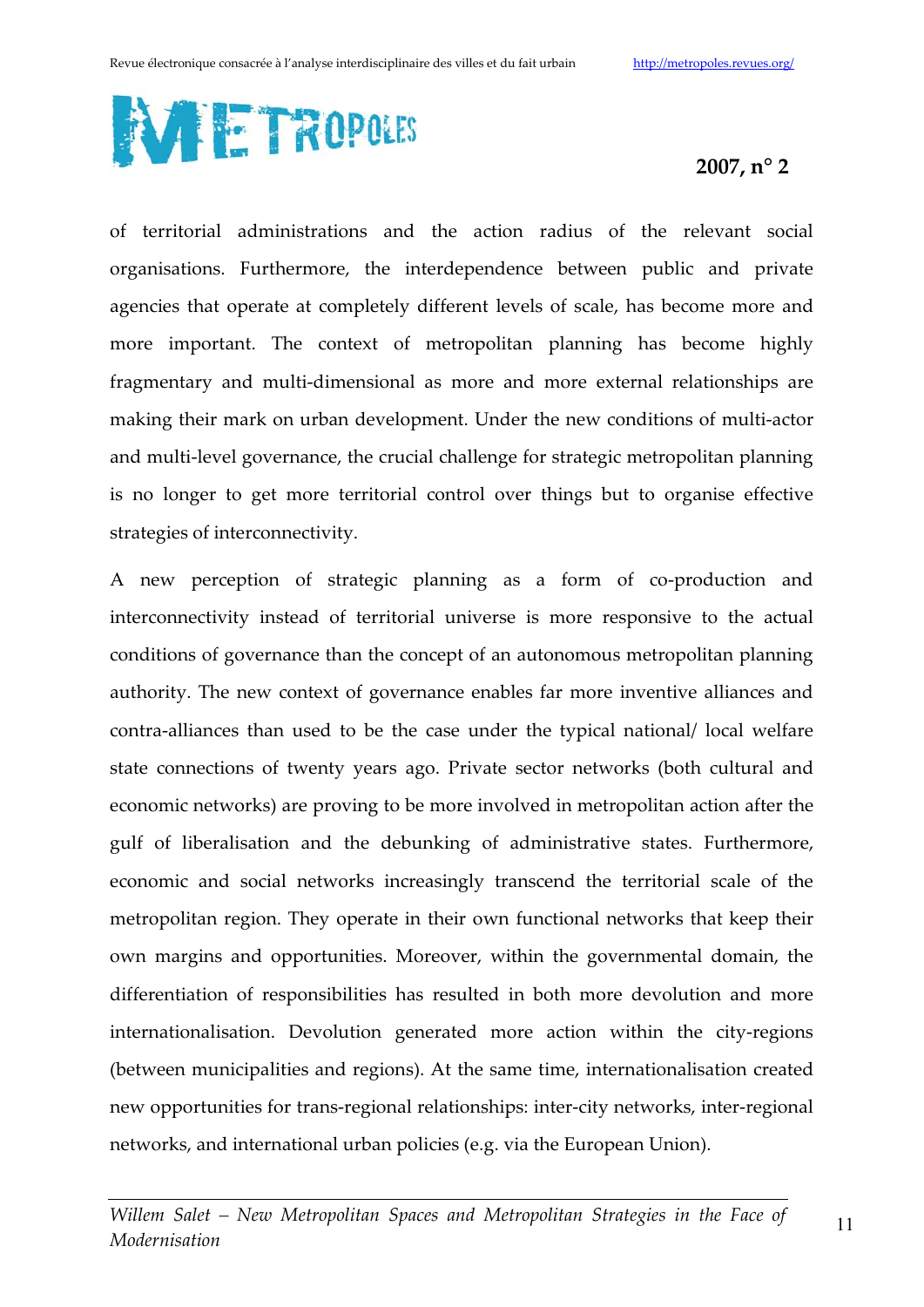

of territorial administrations and the action radius of the relevant social organisations. Furthermore, the interdependence between public and private agencies that operate at completely different levels of scale, has become more and more important. The context of metropolitan planning has become highly fragmentary and multi-dimensional as more and more external relationships are making their mark on urban development. Under the new conditions of multi-actor and multi-level governance, the crucial challenge for strategic metropolitan planning is no longer to get more territorial control over things but to organise effective strategies of interconnectivity.

A new perception of strategic planning as a form of co-production and interconnectivity instead of territorial universe is more responsive to the actual conditions of governance than the concept of an autonomous metropolitan planning authority. The new context of governance enables far more inventive alliances and contra-alliances than used to be the case under the typical national/local welfare state connections of twenty years ago. Private sector networks (both cultural and economic networks) are proving to be more involved in metropolitan action after the gulf of liberalisation and the debunking of administrative states. Furthermore, economic and social networks increasingly transcend the territorial scale of the metropolitan region. They operate in their own functional networks that keep their own margins and opportunities. Moreover, within the governmental domain, the differentiation of responsibilities has resulted in both more devolution and more internationalisation. Devolution generated more action within the city-regions (between municipalities and regions). At the same time, internationalisation created new opportunities for trans-regional relationships: inter-city networks, inter-regional networks, and international urban policies (e.g. via the European Union).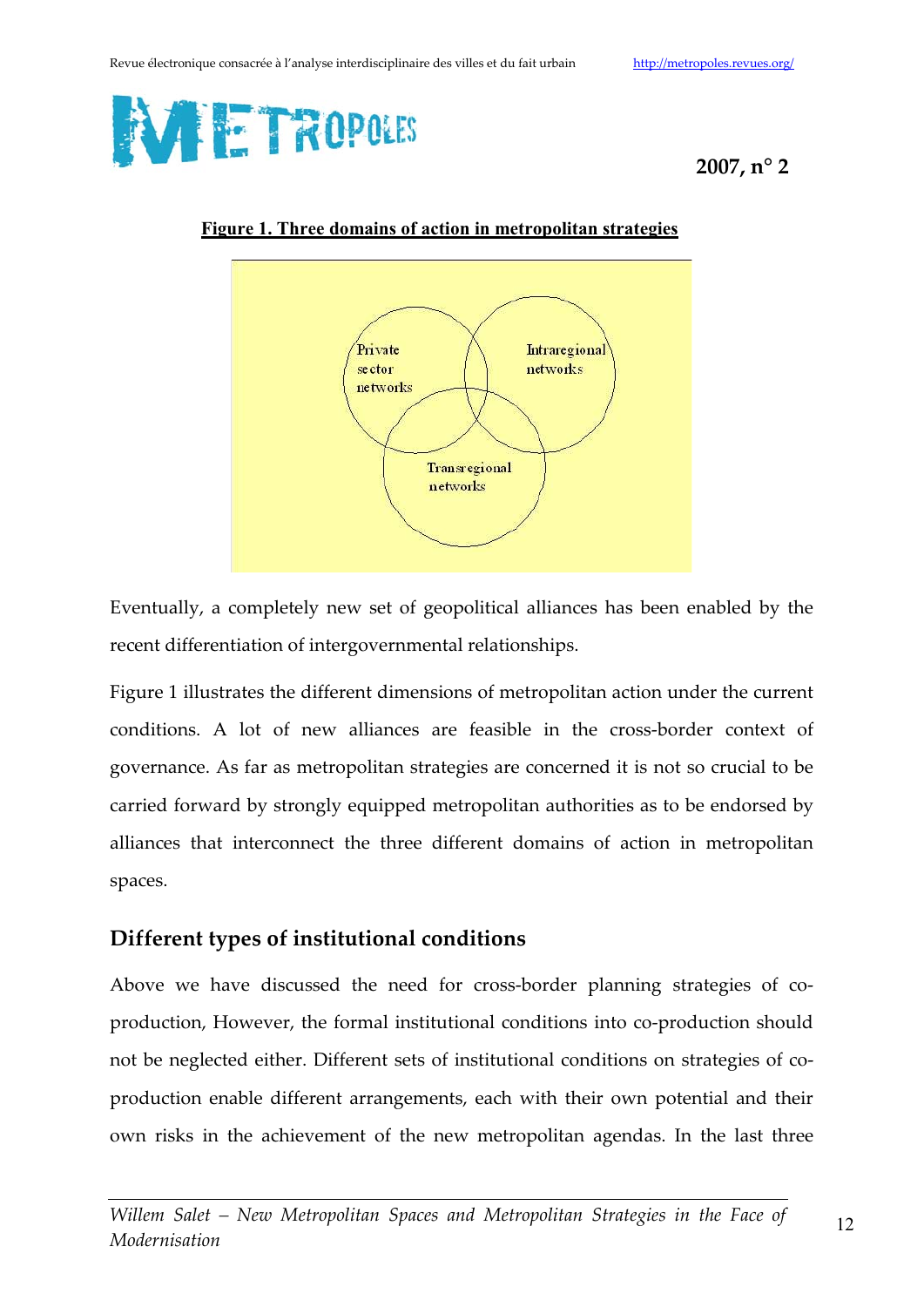



Figure 1. Three domains of action in metropolitan strategies

Eventually, a completely new set of geopolitical alliances has been enabled by the recent differentiation of intergovernmental relationships.

Figure 1 illustrates the different dimensions of metropolitan action under the current conditions. A lot of new alliances are feasible in the cross-border context of governance. As far as metropolitan strategies are concerned it is not so crucial to be carried forward by strongly equipped metropolitan authorities as to be endorsed by alliances that interconnect the three different domains of action in metropolitan spaces.

## Different types of institutional conditions

Above we have discussed the need for cross-border planning strategies of coproduction, However, the formal institutional conditions into co-production should not be neglected either. Different sets of institutional conditions on strategies of coproduction enable different arrangements, each with their own potential and their own risks in the achievement of the new metropolitan agendas. In the last three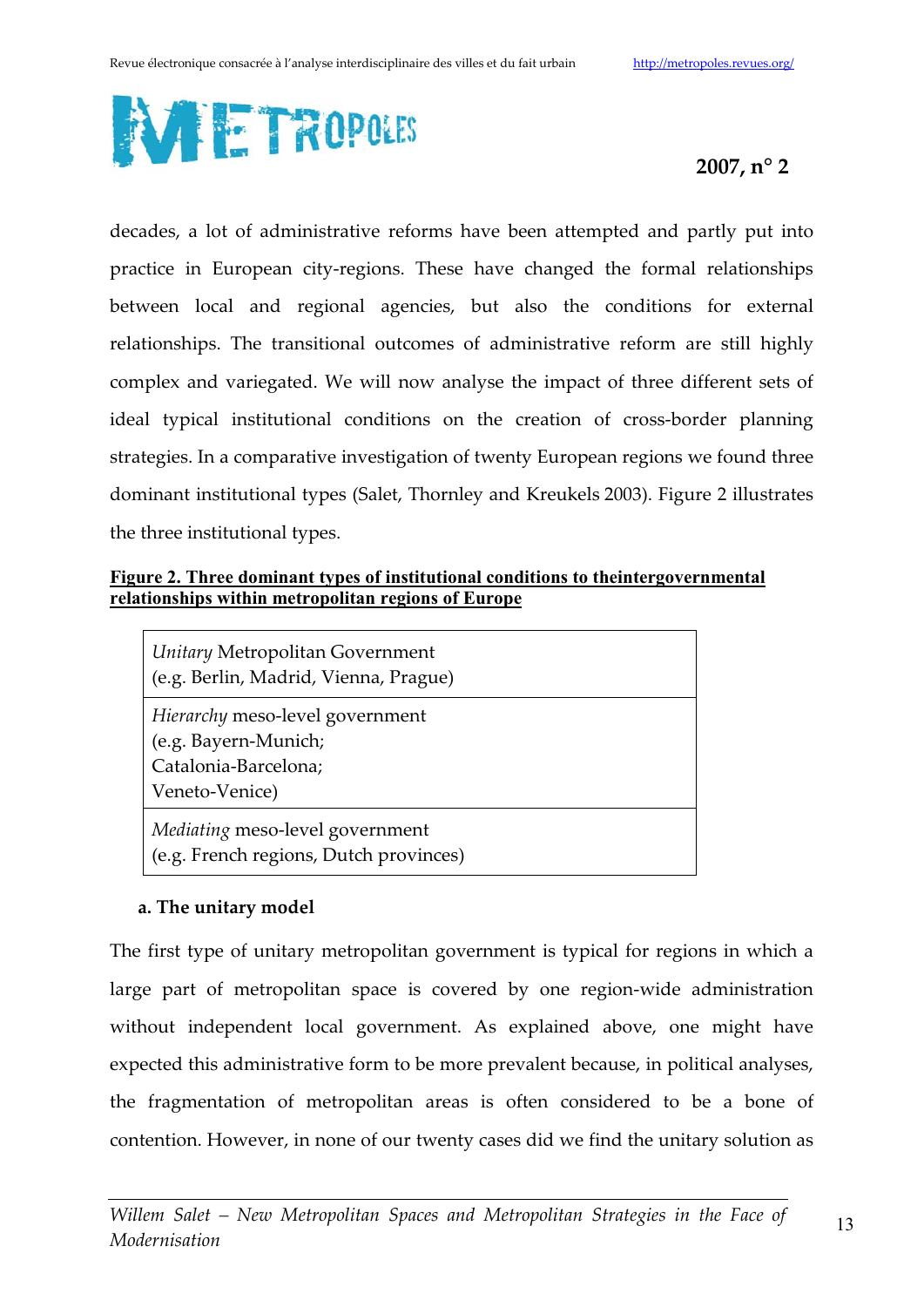

decades, a lot of administrative reforms have been attempted and partly put into practice in European city-regions. These have changed the formal relationships between local and regional agencies, but also the conditions for external relationships. The transitional outcomes of administrative reform are still highly complex and variegated. We will now analyse the impact of three different sets of ideal typical institutional conditions on the creation of cross-border planning strategies. In a comparative investigation of twenty European regions we found three dominant institutional types (Salet, Thornley and Kreukels 2003). Figure 2 illustrates the three institutional types.

#### Figure 2. Three dominant types of institutional conditions to the intergovernmental relationships within metropolitan regions of Europe

Unitary Metropolitan Government (e.g. Berlin, Madrid, Vienna, Prague)

Hierarchy meso-level government (e.g. Bayern-Munich; Catalonia-Barcelona: Veneto-Venice)

Mediating meso-level government (e.g. French regions, Dutch provinces)

#### a. The unitary model

The first type of unitary metropolitan government is typical for regions in which a large part of metropolitan space is covered by one region-wide administration without independent local government. As explained above, one might have expected this administrative form to be more prevalent because, in political analyses, the fragmentation of metropolitan areas is often considered to be a bone of contention. However, in none of our twenty cases did we find the unitary solution as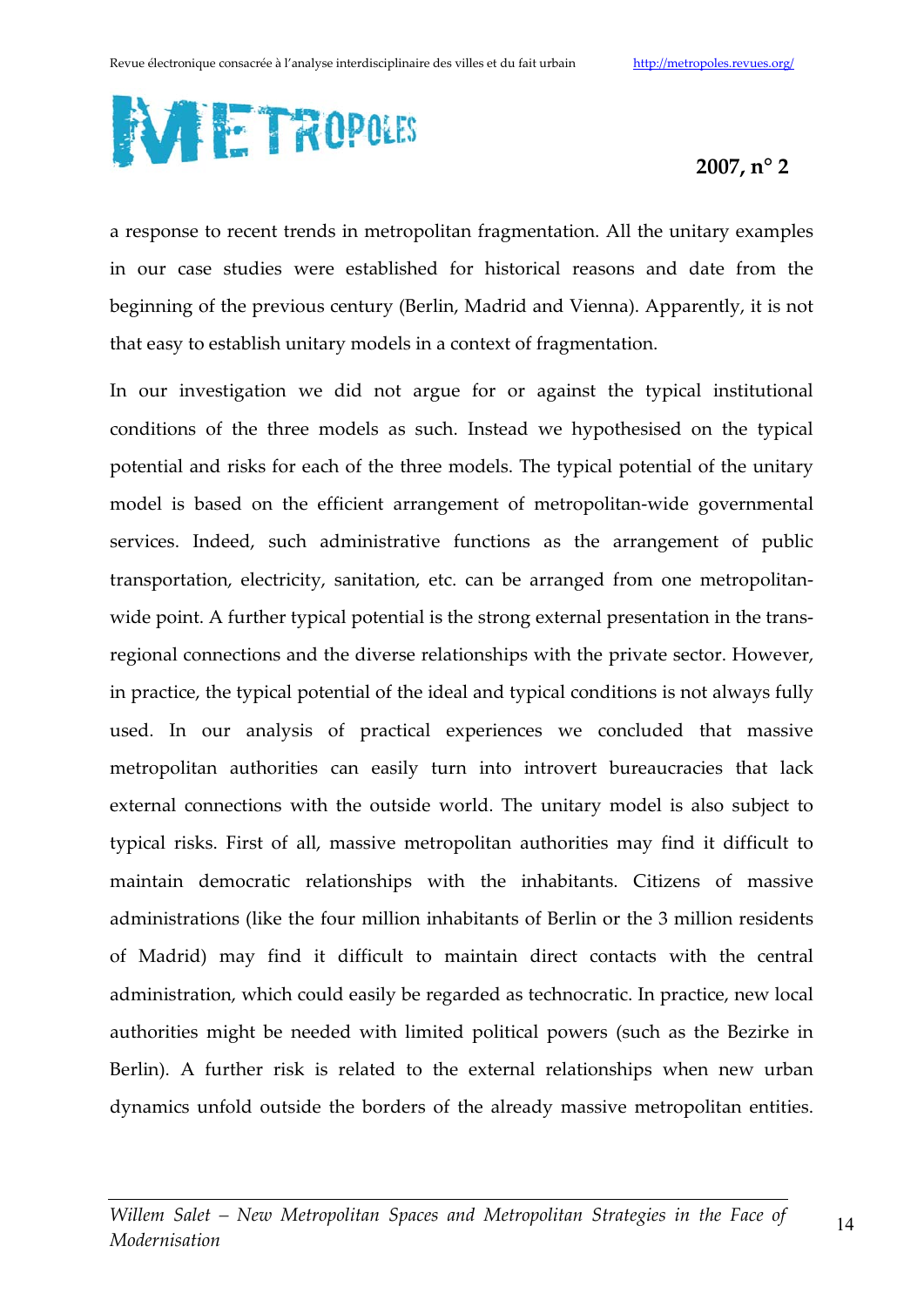

a response to recent trends in metropolitan fragmentation. All the unitary examples in our case studies were established for historical reasons and date from the beginning of the previous century (Berlin, Madrid and Vienna). Apparently, it is not that easy to establish unitary models in a context of fragmentation.

In our investigation we did not argue for or against the typical institutional conditions of the three models as such. Instead we hypothesised on the typical potential and risks for each of the three models. The typical potential of the unitary model is based on the efficient arrangement of metropolitan-wide governmental services. Indeed, such administrative functions as the arrangement of public transportation, electricity, sanitation, etc. can be arranged from one metropolitanwide point. A further typical potential is the strong external presentation in the transregional connections and the diverse relationships with the private sector. However, in practice, the typical potential of the ideal and typical conditions is not always fully used. In our analysis of practical experiences we concluded that massive metropolitan authorities can easily turn into introvert bureaucracies that lack external connections with the outside world. The unitary model is also subject to typical risks. First of all, massive metropolitan authorities may find it difficult to maintain democratic relationships with the inhabitants. Citizens of massive administrations (like the four million inhabitants of Berlin or the 3 million residents of Madrid) may find it difficult to maintain direct contacts with the central administration, which could easily be regarded as technocratic. In practice, new local authorities might be needed with limited political powers (such as the Bezirke in Berlin). A further risk is related to the external relationships when new urban dynamics unfold outside the borders of the already massive metropolitan entities.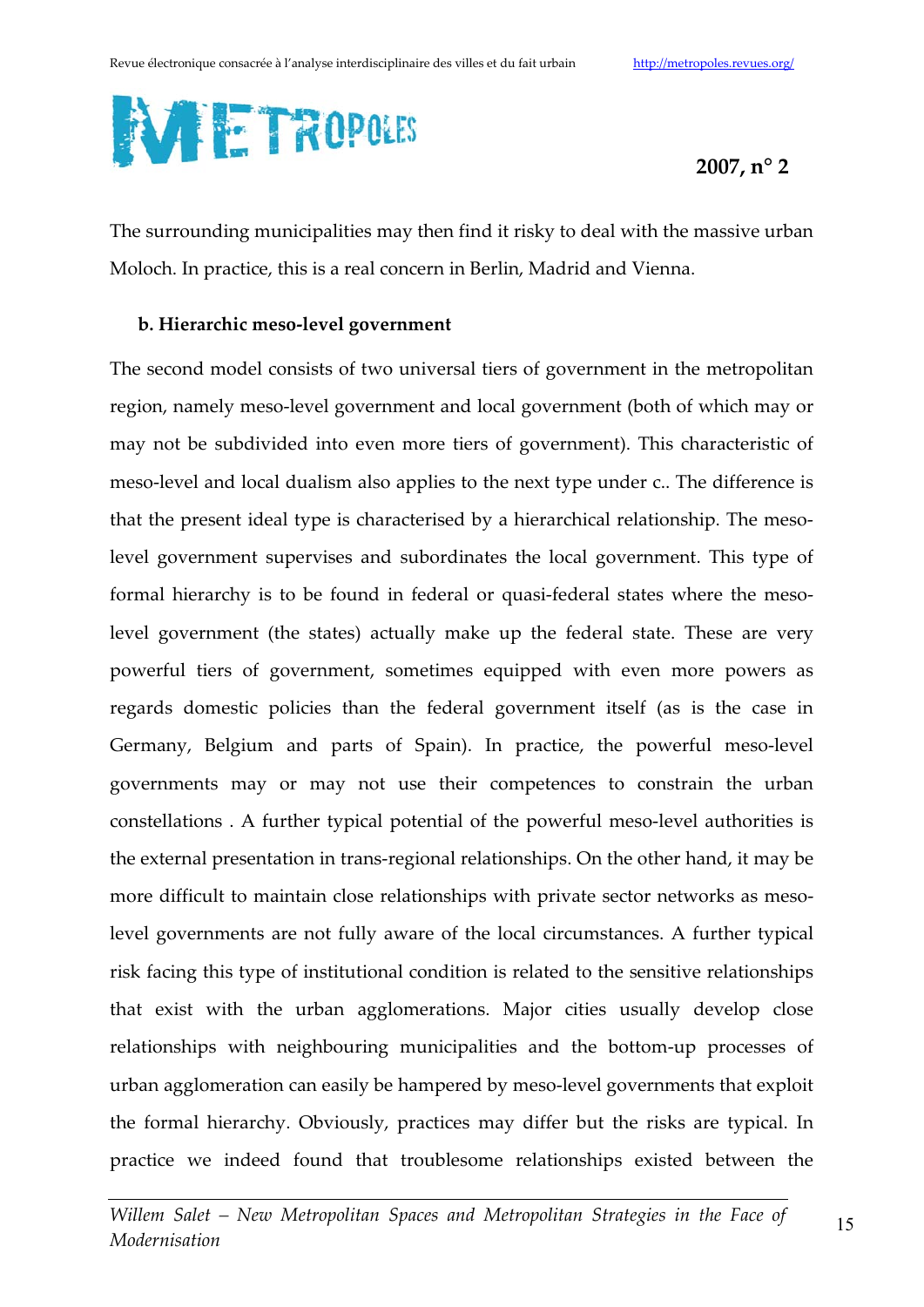

The surrounding municipalities may then find it risky to deal with the massive urban Moloch. In practice, this is a real concern in Berlin, Madrid and Vienna.

#### b. Hierarchic meso-level government

The second model consists of two universal tiers of government in the metropolitan region, namely meso-level government and local government (both of which may or may not be subdivided into even more tiers of government). This characteristic of meso-level and local dualism also applies to the next type under c.. The difference is that the present ideal type is characterised by a hierarchical relationship. The mesolevel government supervises and subordinates the local government. This type of formal hierarchy is to be found in federal or quasi-federal states where the mesolevel government (the states) actually make up the federal state. These are very powerful tiers of government, sometimes equipped with even more powers as regards domestic policies than the federal government itself (as is the case in Germany, Belgium and parts of Spain). In practice, the powerful meso-level governments may or may not use their competences to constrain the urban constellations. A further typical potential of the powerful meso-level authorities is the external presentation in trans-regional relationships. On the other hand, it may be more difficult to maintain close relationships with private sector networks as mesolevel governments are not fully aware of the local circumstances. A further typical risk facing this type of institutional condition is related to the sensitive relationships that exist with the urban agglomerations. Major cities usually develop close relationships with neighbouring municipalities and the bottom-up processes of urban agglomeration can easily be hampered by meso-level governments that exploit the formal hierarchy. Obviously, practices may differ but the risks are typical. In practice we indeed found that troublesome relationships existed between the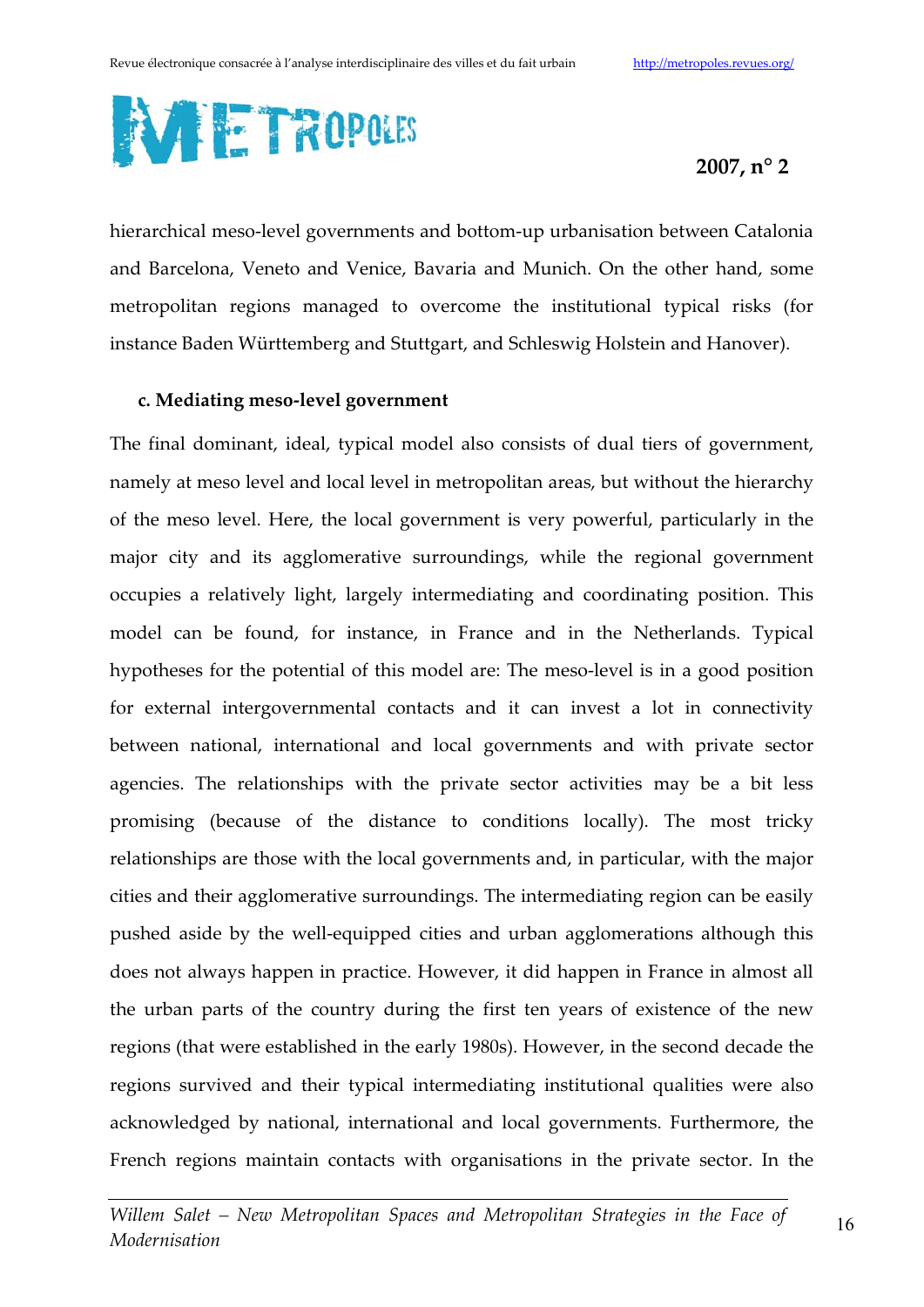

hierarchical meso-level governments and bottom-up urbanisation between Catalonia and Barcelona, Veneto and Venice, Bavaria and Munich. On the other hand, some metropolitan regions managed to overcome the institutional typical risks (for instance Baden Württemberg and Stuttgart, and Schleswig Holstein and Hanover).

#### c. Mediating meso-level government

The final dominant, ideal, typical model also consists of dual tiers of government, namely at meso level and local level in metropolitan areas, but without the hierarchy of the meso level. Here, the local government is very powerful, particularly in the major city and its agglomerative surroundings, while the regional government occupies a relatively light, largely intermediating and coordinating position. This model can be found, for instance, in France and in the Netherlands. Typical hypotheses for the potential of this model are: The meso-level is in a good position for external intergovernmental contacts and it can invest a lot in connectivity between national, international and local governments and with private sector agencies. The relationships with the private sector activities may be a bit less promising (because of the distance to conditions locally). The most tricky relationships are those with the local governments and, in particular, with the major cities and their agglomerative surroundings. The intermediating region can be easily pushed aside by the well-equipped cities and urban agglomerations although this does not always happen in practice. However, it did happen in France in almost all the urban parts of the country during the first ten years of existence of the new regions (that were established in the early 1980s). However, in the second decade the regions survived and their typical intermediating institutional qualities were also acknowledged by national, international and local governments. Furthermore, the French regions maintain contacts with organisations in the private sector. In the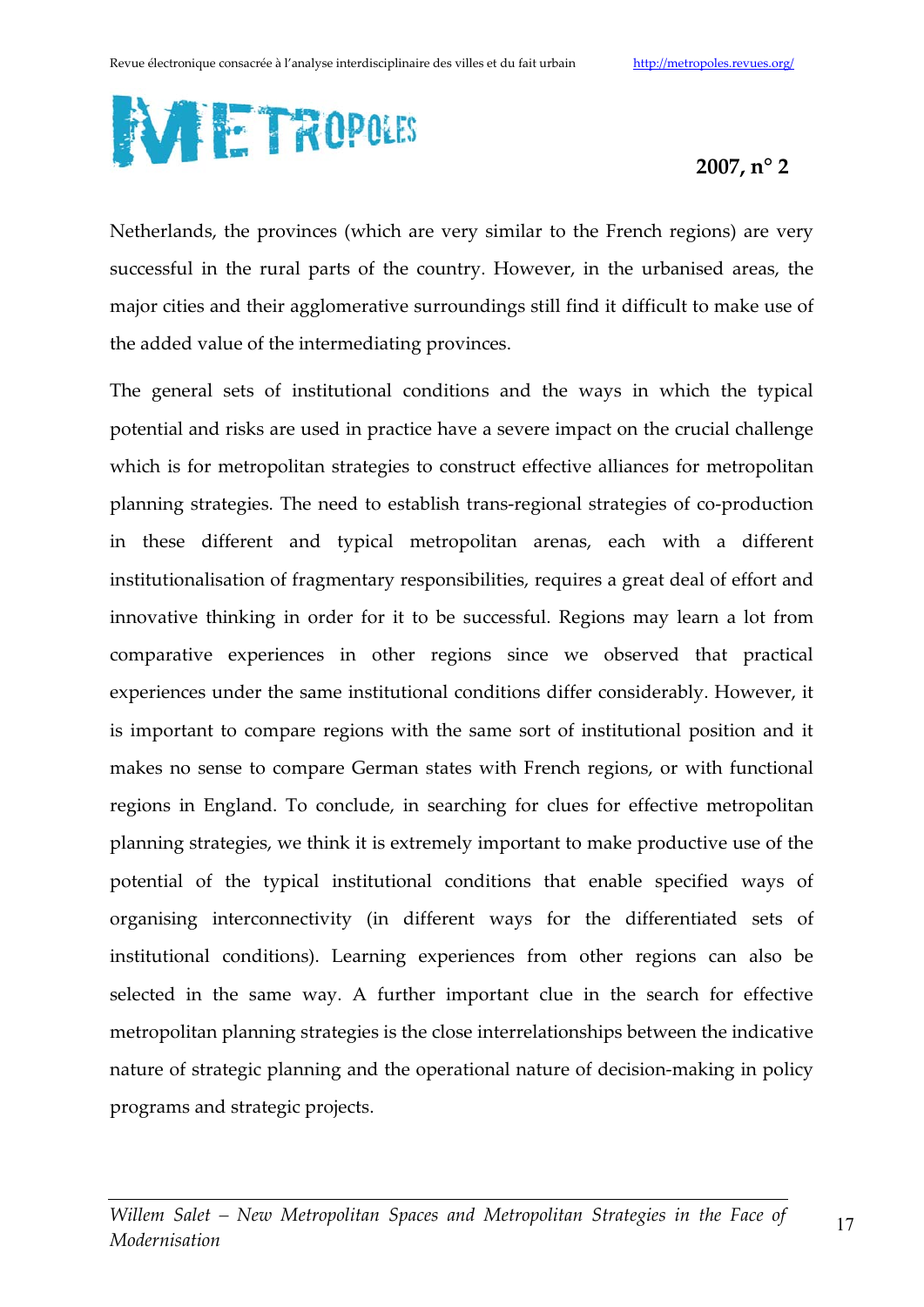

Netherlands, the provinces (which are very similar to the French regions) are very successful in the rural parts of the country. However, in the urbanised areas, the major cities and their agglomerative surroundings still find it difficult to make use of the added value of the intermediating provinces.

The general sets of institutional conditions and the ways in which the typical potential and risks are used in practice have a severe impact on the crucial challenge which is for metropolitan strategies to construct effective alliances for metropolitan planning strategies. The need to establish trans-regional strategies of co-production in these different and typical metropolitan arenas, each with a different institutionalisation of fragmentary responsibilities, requires a great deal of effort and innovative thinking in order for it to be successful. Regions may learn a lot from comparative experiences in other regions since we observed that practical experiences under the same institutional conditions differ considerably. However, it is important to compare regions with the same sort of institutional position and it makes no sense to compare German states with French regions, or with functional regions in England. To conclude, in searching for clues for effective metropolitan planning strategies, we think it is extremely important to make productive use of the potential of the typical institutional conditions that enable specified ways of organising interconnectivity (in different ways for the differentiated sets of institutional conditions). Learning experiences from other regions can also be selected in the same way. A further important clue in the search for effective metropolitan planning strategies is the close interrelationships between the indicative nature of strategic planning and the operational nature of decision-making in policy programs and strategic projects.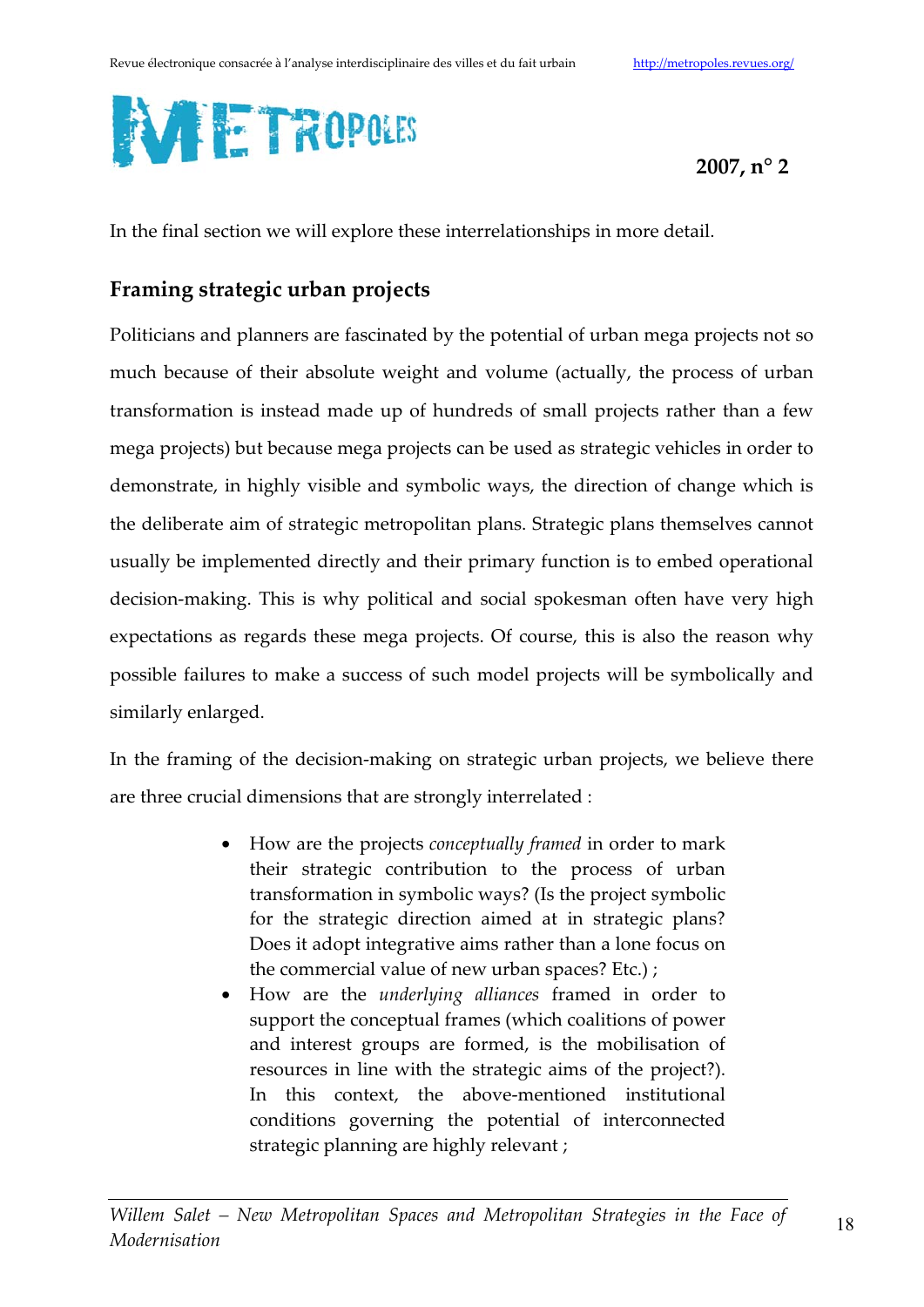

In the final section we will explore these interrelationships in more detail.

## Framing strategic urban projects

Politicians and planners are fascinated by the potential of urban mega projects not so much because of their absolute weight and volume (actually, the process of urban transformation is instead made up of hundreds of small projects rather than a few mega projects) but because mega projects can be used as strategic vehicles in order to demonstrate, in highly visible and symbolic ways, the direction of change which is the deliberate aim of strategic metropolitan plans. Strategic plans themselves cannot usually be implemented directly and their primary function is to embed operational decision-making. This is why political and social spokesman often have very high expectations as regards these mega projects. Of course, this is also the reason why possible failures to make a success of such model projects will be symbolically and similarly enlarged.

In the framing of the decision-making on strategic urban projects, we believe there are three crucial dimensions that are strongly interrelated :

- How are the projects conceptually framed in order to mark their strategic contribution to the process of urban transformation in symbolic ways? (Is the project symbolic for the strategic direction aimed at in strategic plans? Does it adopt integrative aims rather than a lone focus on the commercial value of new urban spaces? Etc.);
- How are the *underlying alliances* framed in order to support the conceptual frames (which coalitions of power and interest groups are formed, is the mobilisation of resources in line with the strategic aims of the project?). In this context, the above-mentioned institutional conditions governing the potential of interconnected strategic planning are highly relevant;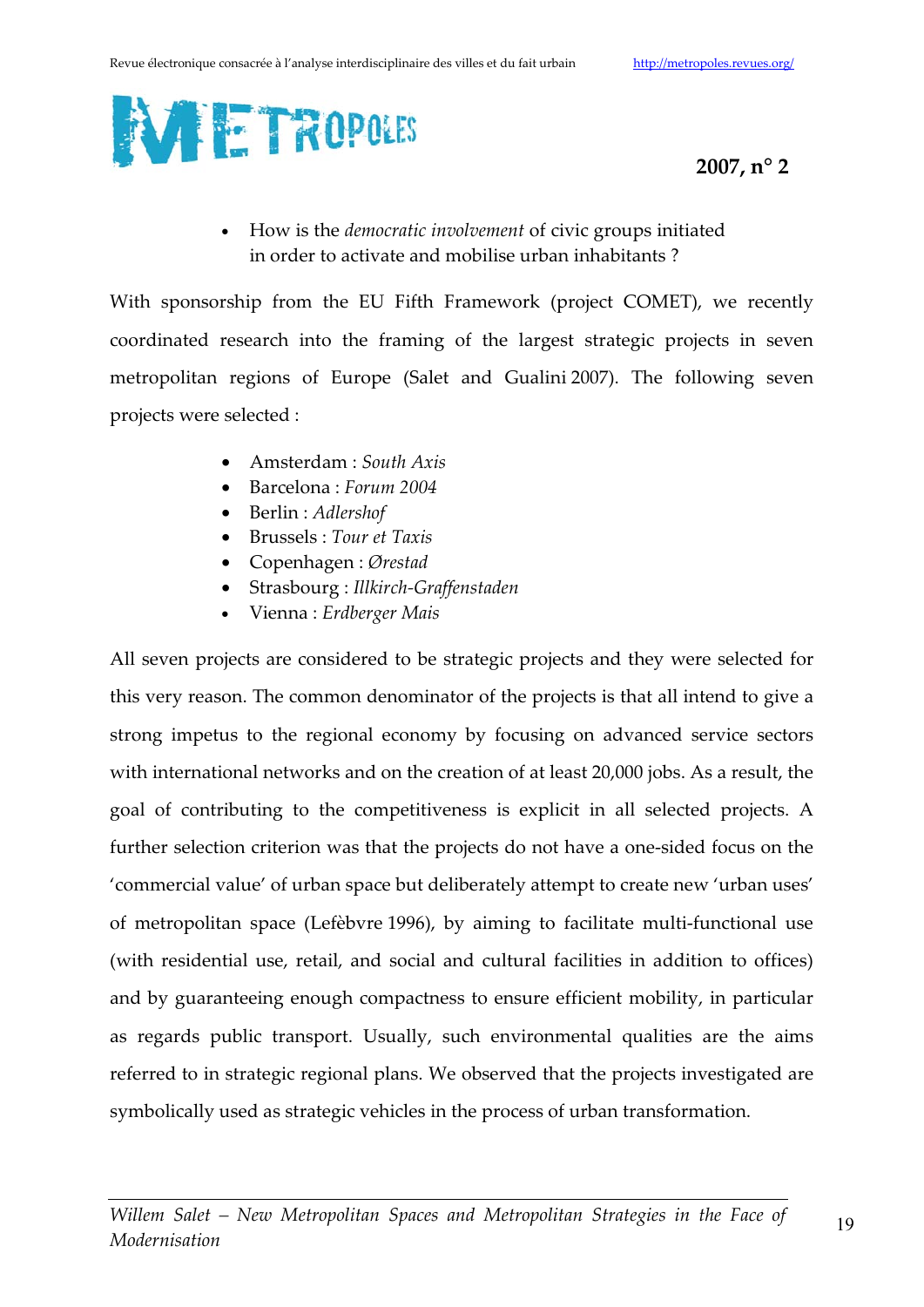

How is the *democratic involvement* of civic groups initiated in order to activate and mobilise urban inhabitants?

With sponsorship from the EU Fifth Framework (project COMET), we recently coordinated research into the framing of the largest strategic projects in seven metropolitan regions of Europe (Salet and Gualini 2007). The following seven projects were selected :

- $\bullet$  Amsterdam : South Axis
- $\bullet$  Barcelona: Forum 2004
- Berlin : Adlershof
- Brussels : Tour et Taxis
- Copenhagen : Ørestad
- Strasbourg : Illkirch-Graffenstaden
- Vienna : Erdberger Mais

All seven projects are considered to be strategic projects and they were selected for this very reason. The common denominator of the projects is that all intend to give a strong impetus to the regional economy by focusing on advanced service sectors with international networks and on the creation of at least 20,000 jobs. As a result, the goal of contributing to the competitiveness is explicit in all selected projects. A further selection criterion was that the projects do not have a one-sided focus on the 'commercial value' of urban space but deliberately attempt to create new 'urban uses' of metropolitan space (Lefèbvre 1996), by aiming to facilitate multi-functional use (with residential use, retail, and social and cultural facilities in addition to offices) and by guaranteeing enough compactness to ensure efficient mobility, in particular as regards public transport. Usually, such environmental qualities are the aims referred to in strategic regional plans. We observed that the projects investigated are symbolically used as strategic vehicles in the process of urban transformation.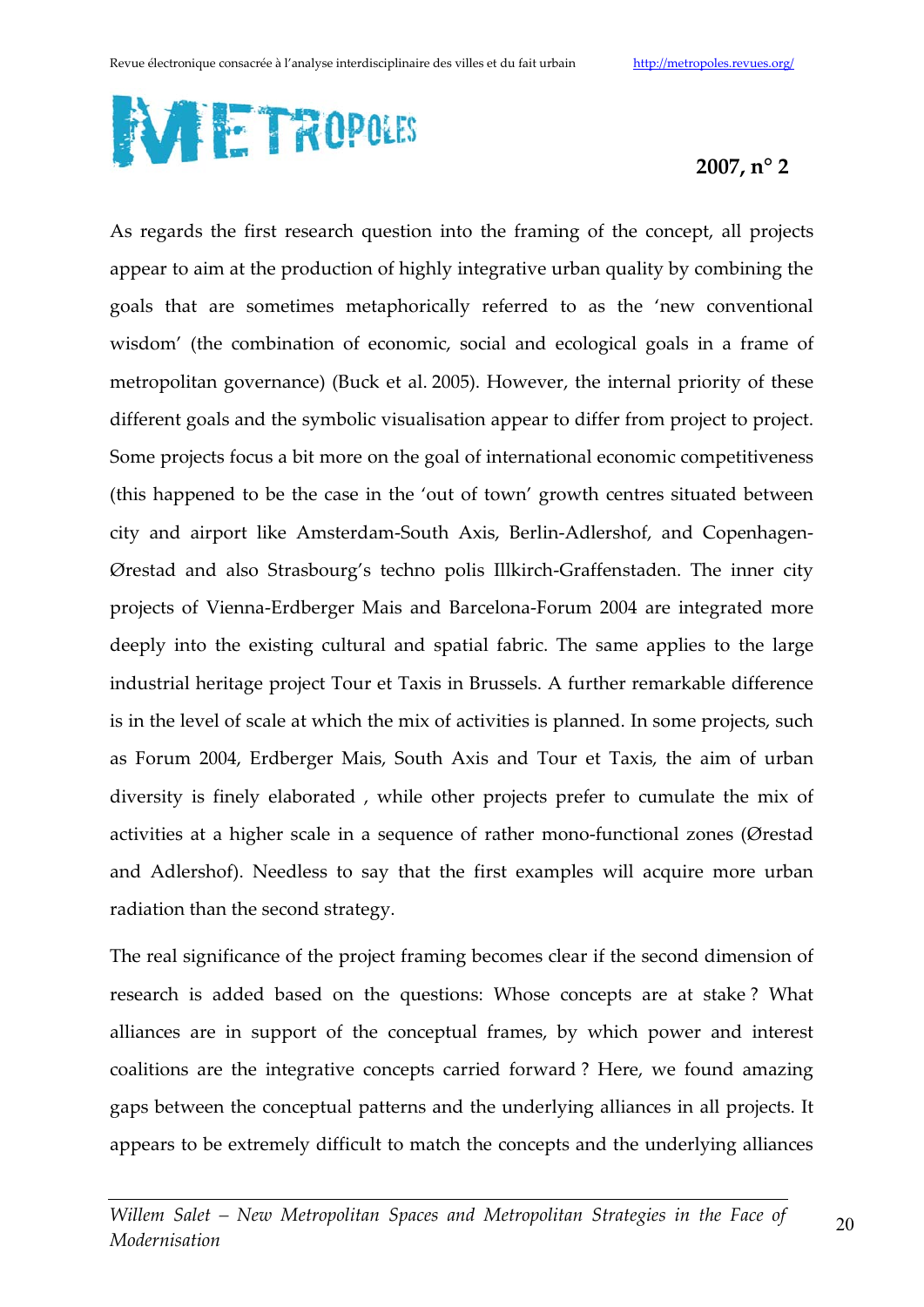

As regards the first research question into the framing of the concept, all projects appear to aim at the production of highly integrative urban quality by combining the goals that are sometimes metaphorically referred to as the 'new conventional wisdom' (the combination of economic, social and ecological goals in a frame of metropolitan governance) (Buck et al. 2005). However, the internal priority of these different goals and the symbolic visualisation appear to differ from project to project. Some projects focus a bit more on the goal of international economic competitiveness (this happened to be the case in the 'out of town' growth centres situated between city and airport like Amsterdam-South Axis, Berlin-Adlershof, and Copenhagen-Ørestad and also Strasbourg's techno polis Illkirch-Graffenstaden. The inner city projects of Vienna-Erdberger Mais and Barcelona-Forum 2004 are integrated more deeply into the existing cultural and spatial fabric. The same applies to the large industrial heritage project Tour et Taxis in Brussels. A further remarkable difference is in the level of scale at which the mix of activities is planned. In some projects, such as Forum 2004, Erdberger Mais, South Axis and Tour et Taxis, the aim of urban diversity is finely elaborated, while other projects prefer to cumulate the mix of activities at a higher scale in a sequence of rather mono-functional zones (Ørestad and Adlershof). Needless to say that the first examples will acquire more urban radiation than the second strategy.

The real significance of the project framing becomes clear if the second dimension of research is added based on the questions: Whose concepts are at stake? What alliances are in support of the conceptual frames, by which power and interest coalitions are the integrative concepts carried forward? Here, we found amazing gaps between the conceptual patterns and the underlying alliances in all projects. It appears to be extremely difficult to match the concepts and the underlying alliances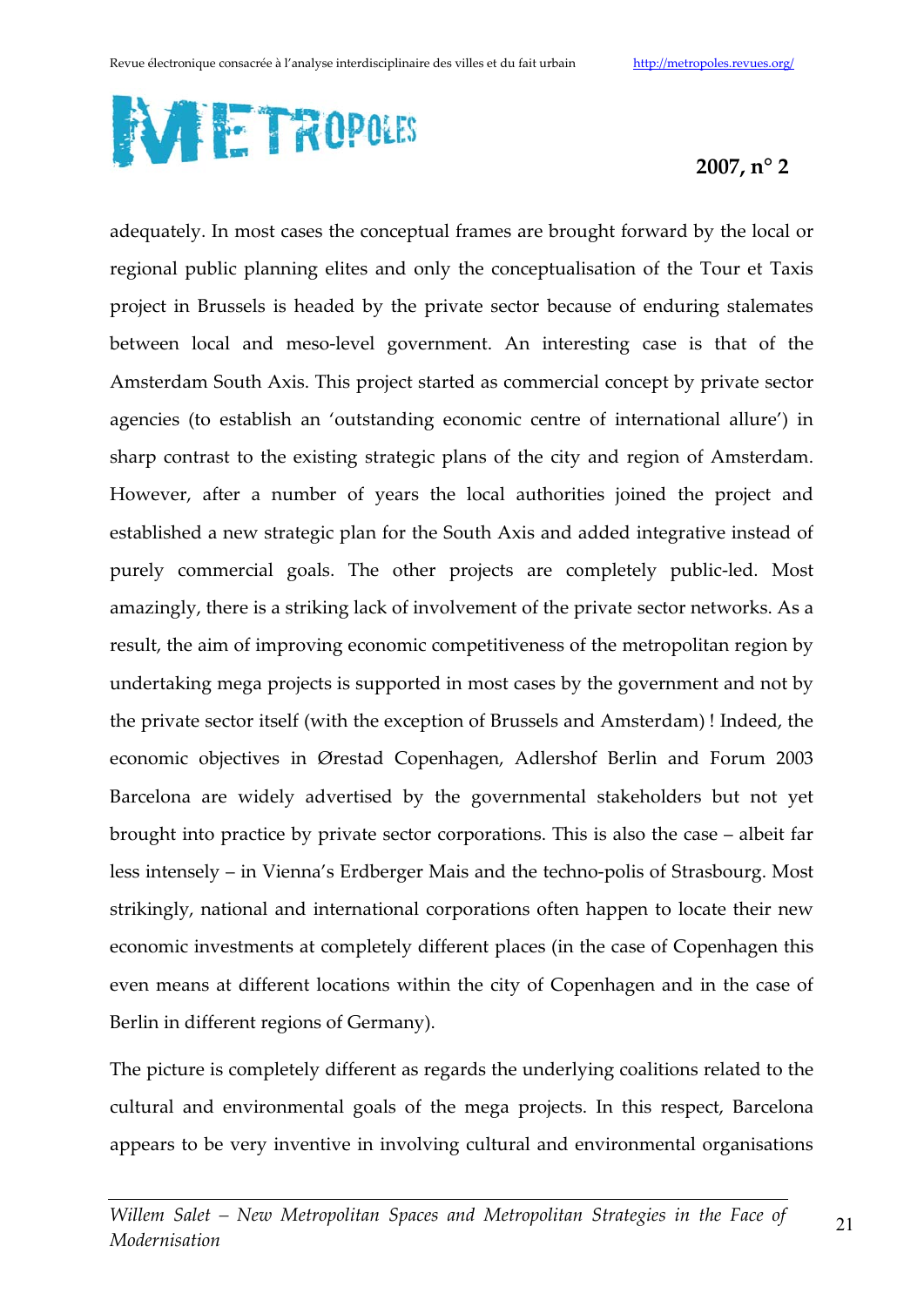

adequately. In most cases the conceptual frames are brought forward by the local or regional public planning elites and only the conceptualisation of the Tour et Taxis project in Brussels is headed by the private sector because of enduring stalemates between local and meso-level government. An interesting case is that of the Amsterdam South Axis. This project started as commercial concept by private sector agencies (to establish an 'outstanding economic centre of international allure') in sharp contrast to the existing strategic plans of the city and region of Amsterdam. However, after a number of years the local authorities joined the project and established a new strategic plan for the South Axis and added integrative instead of purely commercial goals. The other projects are completely public-led. Most amazingly, there is a striking lack of involvement of the private sector networks. As a result, the aim of improving economic competitiveness of the metropolitan region by undertaking mega projects is supported in most cases by the government and not by the private sector itself (with the exception of Brussels and Amsterdam)! Indeed, the economic objectives in Ørestad Copenhagen, Adlershof Berlin and Forum 2003 Barcelona are widely advertised by the governmental stakeholders but not yet brought into practice by private sector corporations. This is also the case – albeit far less intensely – in Vienna's Erdberger Mais and the techno-polis of Strasbourg. Most strikingly, national and international corporations often happen to locate their new economic investments at completely different places (in the case of Copenhagen this even means at different locations within the city of Copenhagen and in the case of Berlin in different regions of Germany).

The picture is completely different as regards the underlying coalitions related to the cultural and environmental goals of the mega projects. In this respect, Barcelona appears to be very inventive in involving cultural and environmental organisations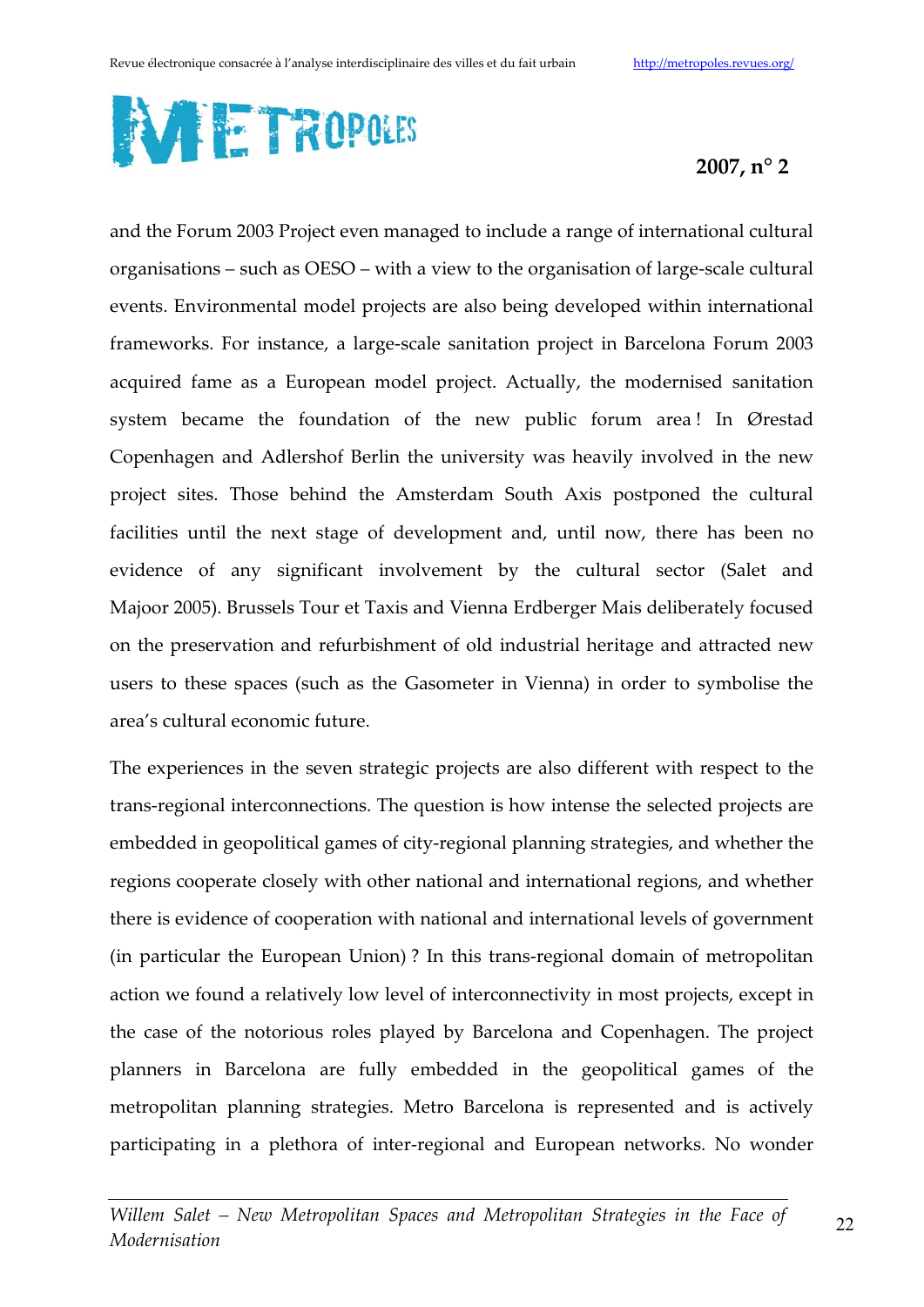

and the Forum 2003 Project even managed to include a range of international cultural organisations – such as OESO – with a view to the organisation of large-scale cultural events. Environmental model projects are also being developed within international frameworks. For instance, a large-scale sanitation project in Barcelona Forum 2003 acquired fame as a European model project. Actually, the modernised sanitation system became the foundation of the new public forum area! In Ørestad Copenhagen and Adlershof Berlin the university was heavily involved in the new project sites. Those behind the Amsterdam South Axis postponed the cultural facilities until the next stage of development and, until now, there has been no evidence of any significant involvement by the cultural sector (Salet and Majoor 2005). Brussels Tour et Taxis and Vienna Erdberger Mais deliberately focused on the preservation and refurbishment of old industrial heritage and attracted new users to these spaces (such as the Gasometer in Vienna) in order to symbolise the area's cultural economic future.

The experiences in the seven strategic projects are also different with respect to the trans-regional interconnections. The question is how intense the selected projects are embedded in geopolitical games of city-regional planning strategies, and whether the regions cooperate closely with other national and international regions, and whether there is evidence of cooperation with national and international levels of government (in particular the European Union)? In this trans-regional domain of metropolitan action we found a relatively low level of interconnectivity in most projects, except in the case of the notorious roles played by Barcelona and Copenhagen. The project planners in Barcelona are fully embedded in the geopolitical games of the metropolitan planning strategies. Metro Barcelona is represented and is actively participating in a plethora of inter-regional and European networks. No wonder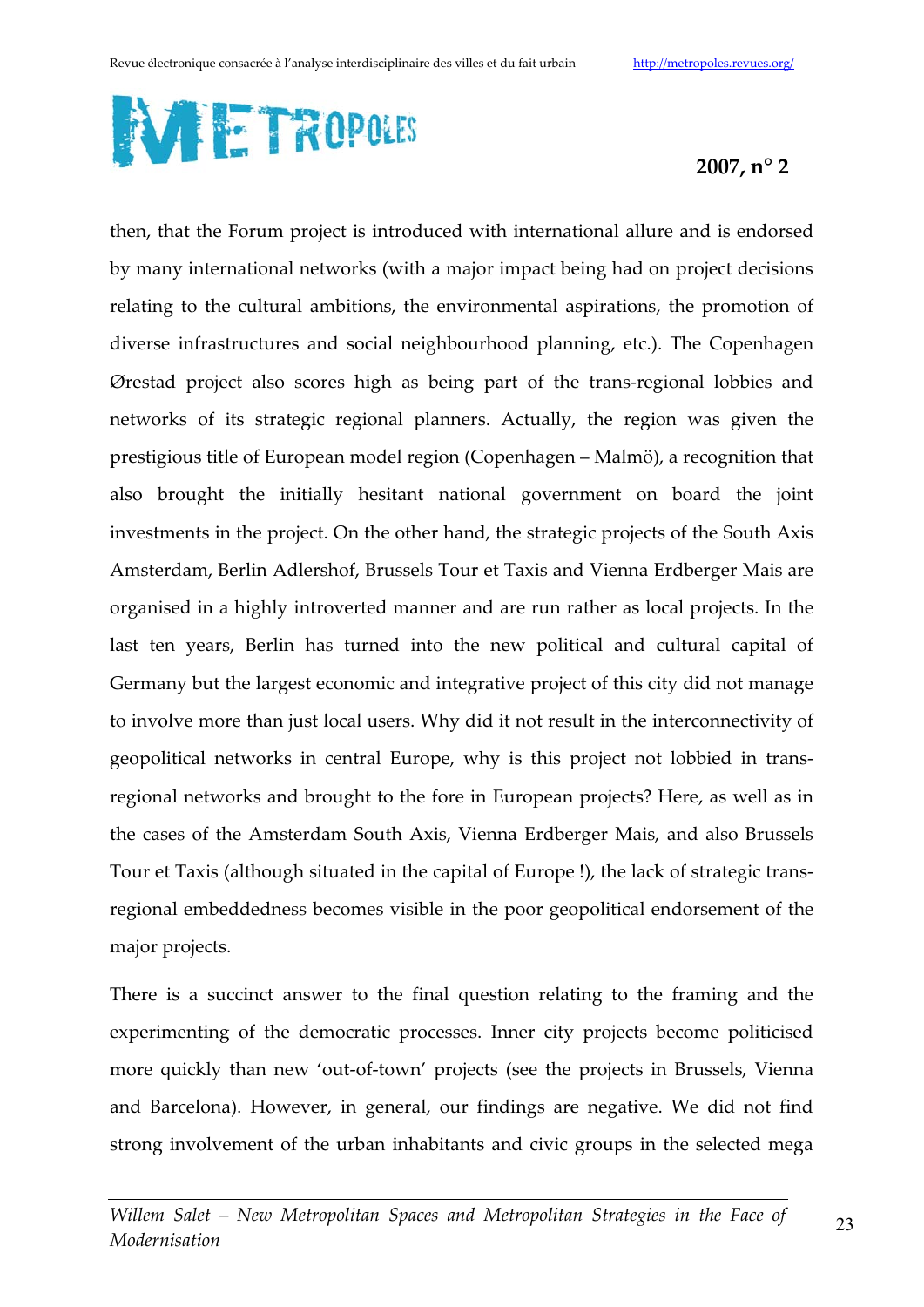

then, that the Forum project is introduced with international allure and is endorsed by many international networks (with a major impact being had on project decisions relating to the cultural ambitions, the environmental aspirations, the promotion of diverse infrastructures and social neighbourhood planning, etc.). The Copenhagen Ørestad project also scores high as being part of the trans-regional lobbies and networks of its strategic regional planners. Actually, the region was given the prestigious title of European model region (Copenhagen – Malmö), a recognition that also brought the initially hesitant national government on board the joint investments in the project. On the other hand, the strategic projects of the South Axis Amsterdam, Berlin Adlershof, Brussels Tour et Taxis and Vienna Erdberger Mais are organised in a highly introverted manner and are run rather as local projects. In the last ten years, Berlin has turned into the new political and cultural capital of Germany but the largest economic and integrative project of this city did not manage to involve more than just local users. Why did it not result in the interconnectivity of geopolitical networks in central Europe, why is this project not lobbied in transregional networks and brought to the fore in European projects? Here, as well as in the cases of the Amsterdam South Axis, Vienna Erdberger Mais, and also Brussels Tour et Taxis (although situated in the capital of Europe!), the lack of strategic transregional embeddedness becomes visible in the poor geopolitical endorsement of the major projects.

There is a succinct answer to the final question relating to the framing and the experimenting of the democratic processes. Inner city projects become politicised more quickly than new 'out-of-town' projects (see the projects in Brussels, Vienna and Barcelona). However, in general, our findings are negative. We did not find strong involvement of the urban inhabitants and civic groups in the selected mega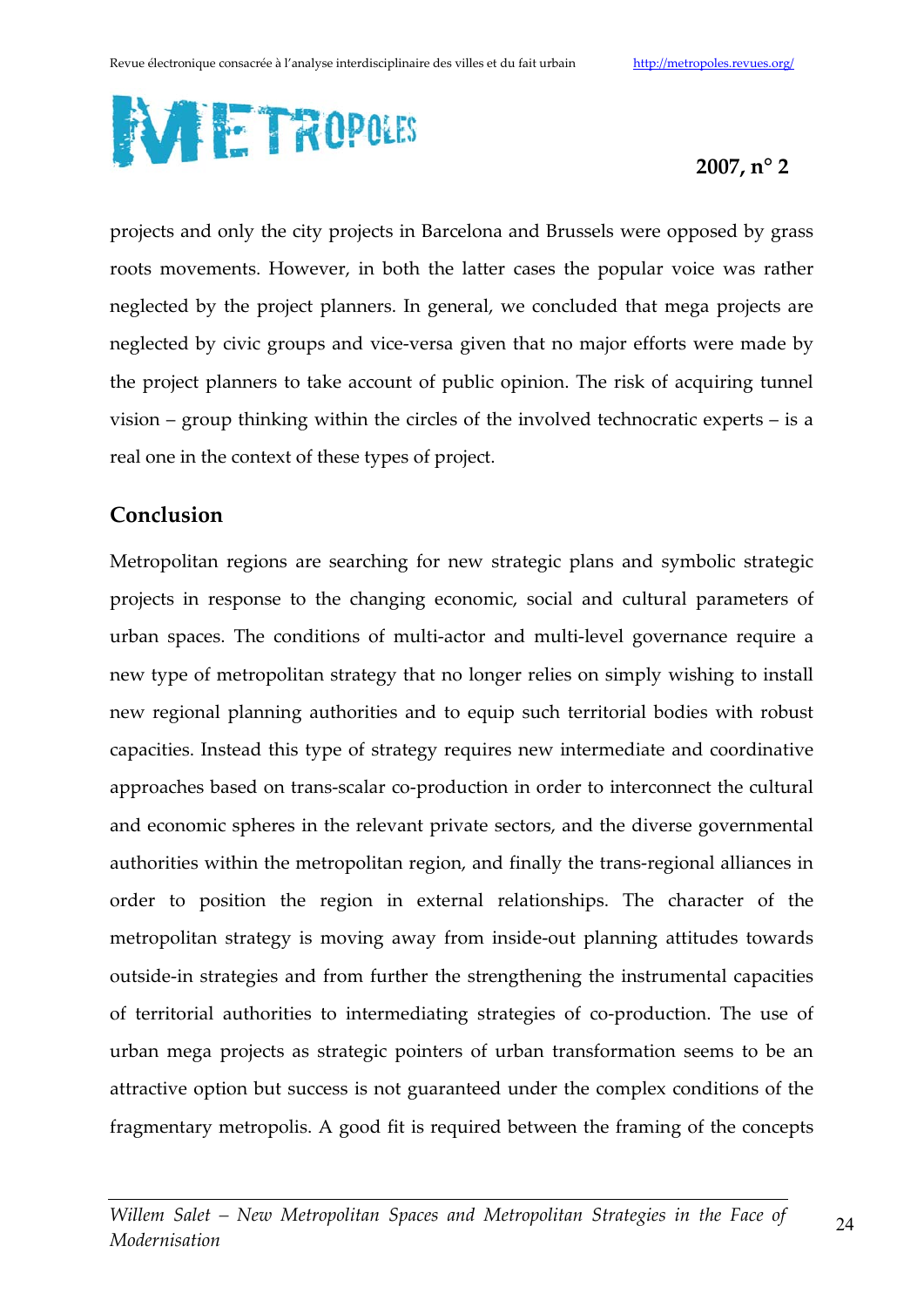

projects and only the city projects in Barcelona and Brussels were opposed by grass roots movements. However, in both the latter cases the popular voice was rather neglected by the project planners. In general, we concluded that mega projects are neglected by civic groups and vice-versa given that no major efforts were made by the project planners to take account of public opinion. The risk of acquiring tunnel vision – group thinking within the circles of the involved technocratic experts – is a real one in the context of these types of project.

## Conclusion

Metropolitan regions are searching for new strategic plans and symbolic strategic projects in response to the changing economic, social and cultural parameters of urban spaces. The conditions of multi-actor and multi-level governance require a new type of metropolitan strategy that no longer relies on simply wishing to install new regional planning authorities and to equip such territorial bodies with robust capacities. Instead this type of strategy requires new intermediate and coordinative approaches based on trans-scalar co-production in order to interconnect the cultural and economic spheres in the relevant private sectors, and the diverse governmental authorities within the metropolitan region, and finally the trans-regional alliances in order to position the region in external relationships. The character of the metropolitan strategy is moving away from inside-out planning attitudes towards outside-in strategies and from further the strengthening the instrumental capacities of territorial authorities to intermediating strategies of co-production. The use of urban mega projects as strategic pointers of urban transformation seems to be an attractive option but success is not guaranteed under the complex conditions of the fragmentary metropolis. A good fit is required between the framing of the concepts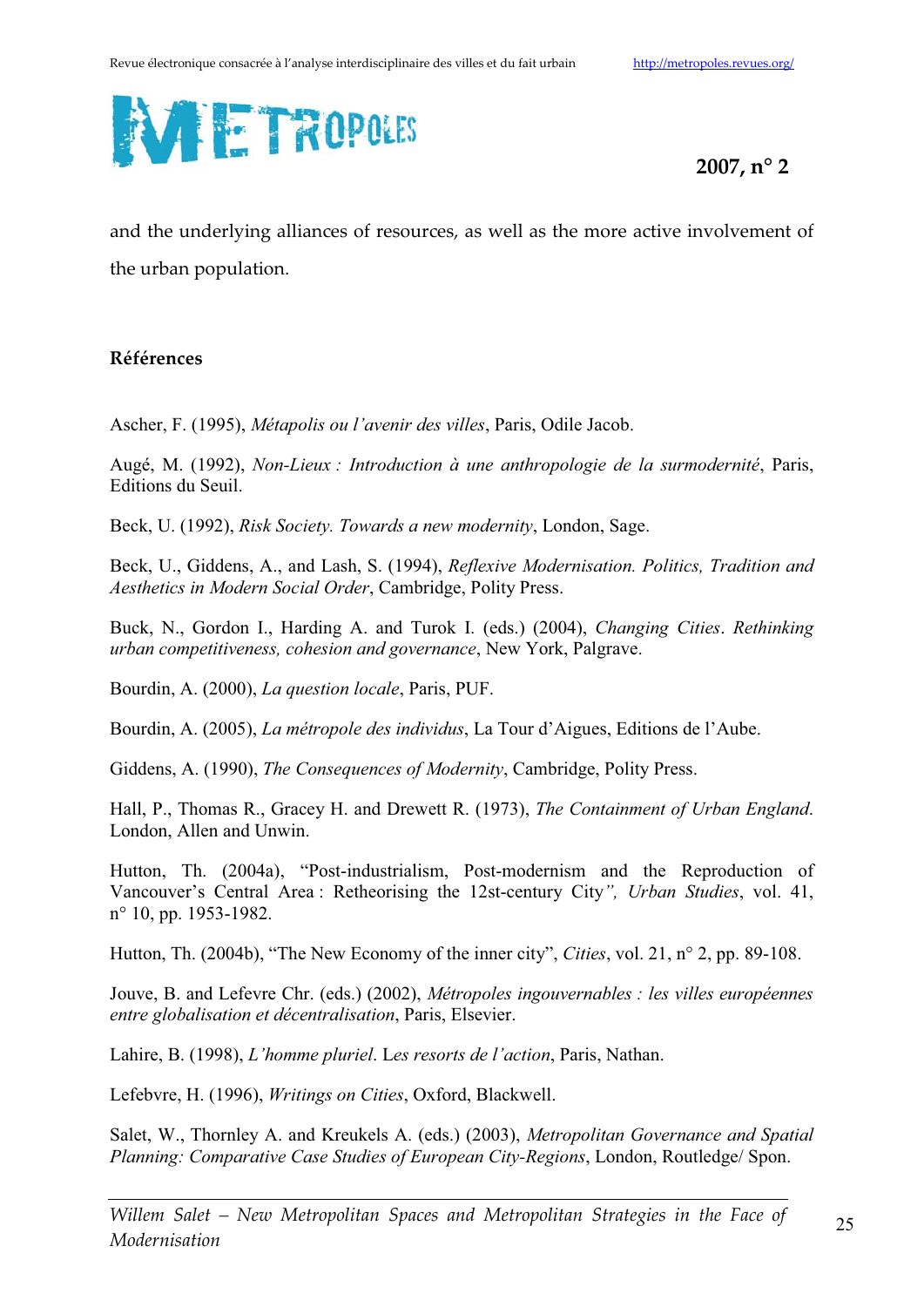

and the underlying alliances of resources, as well as the more active involvement of the urban population.

#### Références

Ascher, F. (1995), *Métapolis ou l'avenir des villes*, Paris, Odile Jacob.

Augé, M. (1992), *Non-Lieux : Introduction à une anthropologie de la surmodernité*, Paris, Editions du Seuil.

Beck, U. (1992), *Risk Society. Towards a new modernity*, London, Sage.

Beck, U., Giddens, A., and Lash, S. (1994), *Reflexive Modernisation. Politics, Tradition and Aesthetics in Modern Social Order*, Cambridge, Polity Press.

Buck, N., Gordon I., Harding A. and Turok I. (eds.) (2004), *Changing Cities*. *Rethinking urban competitiveness, cohesion and governance*, New York, Palgrave.

Bourdin, A. (2000), *La question locale*, Paris, PUF.

Bourdin, A. (2005), *La métropole des individus*, La Tour d'Aigues, Editions de l'Aube.

Giddens, A. (1990), *The Consequences of Modernity*, Cambridge, Polity Press.

Hall, P., Thomas R., Gracey H. and Drewett R. (1973), *The Containment of Urban England*. London, Allen and Unwin.

Hutton, Th. (2004a), "Post-industrialism, Post-modernism and the Reproduction of Vancouver's Central Area : Retheorising the 12st-century City*", Urban Studies*, vol. 41, n° 10, pp. 1953-1982.

Hutton, Th. (2004b), "The New Economy of the inner city", *Cities*, vol. 21, n° 2, pp. 89-108.

Jouve, B. and Lefevre Chr. (eds.) (2002), *Métropoles ingouvernables : les villes européennes entre globalisation et décentralisation*, Paris, Elsevier.

Lahire, B. (1998), *L'homme pluriel*. L*es resorts de l'action*, Paris, Nathan.

Lefebvre, H. (1996), *Writings on Cities*, Oxford, Blackwell.

Salet, W., Thornley A. and Kreukels A. (eds.) (2003), *Metropolitan Governance and Spatial Planning: Comparative Case Studies of European City-Regions*, London, Routledge/ Spon.